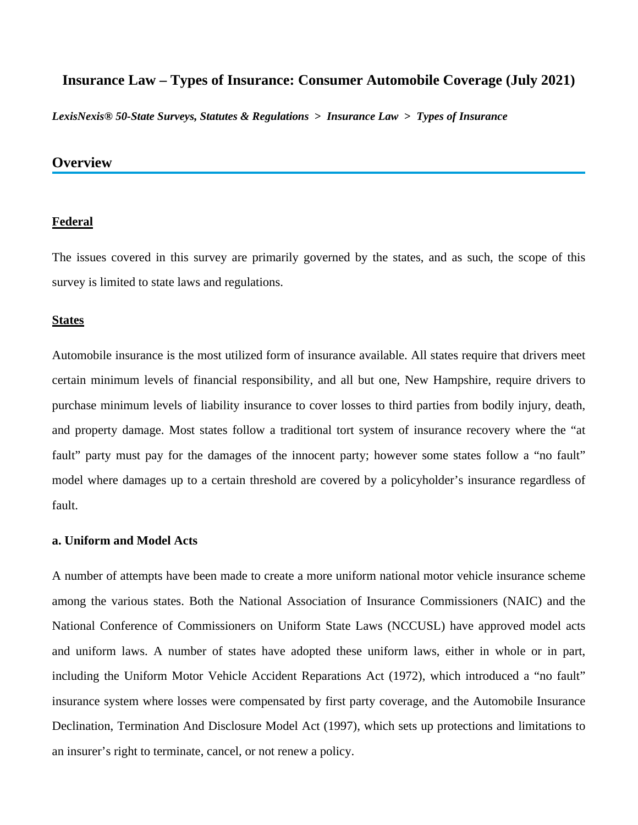*LexisNexis® 50-State Surveys, Statutes & Regulations* **>** *Insurance Law* **>** *Types of Insurance*

# **Overview**

#### **Federal**

The issues covered in this survey are primarily governed by the states, and as such, the scope of this survey is limited to state laws and regulations.

#### **States**

Automobile insurance is the most utilized form of insurance available. All states require that drivers meet certain minimum levels of financial responsibility, and all but one, New Hampshire, require drivers to purchase minimum levels of liability insurance to cover losses to third parties from bodily injury, death, and property damage. Most states follow a traditional tort system of insurance recovery where the "at fault" party must pay for the damages of the innocent party; however some states follow a "no fault" model where damages up to a certain threshold are covered by a policyholder's insurance regardless of fault.

### **a. Uniform and Model Acts**

A number of attempts have been made to create a more uniform national motor vehicle insurance scheme among the various states. Both the National Association of Insurance Commissioners (NAIC) and the National Conference of Commissioners on Uniform State Laws (NCCUSL) have approved model acts and uniform laws. A number of states have adopted these uniform laws, either in whole or in part, including the Uniform Motor Vehicle Accident Reparations Act (1972), which introduced a "no fault" insurance system where losses were compensated by first party coverage, and the Automobile Insurance Declination, Termination And Disclosure Model Act (1997), which sets up protections and limitations to an insurer's right to terminate, cancel, or not renew a policy.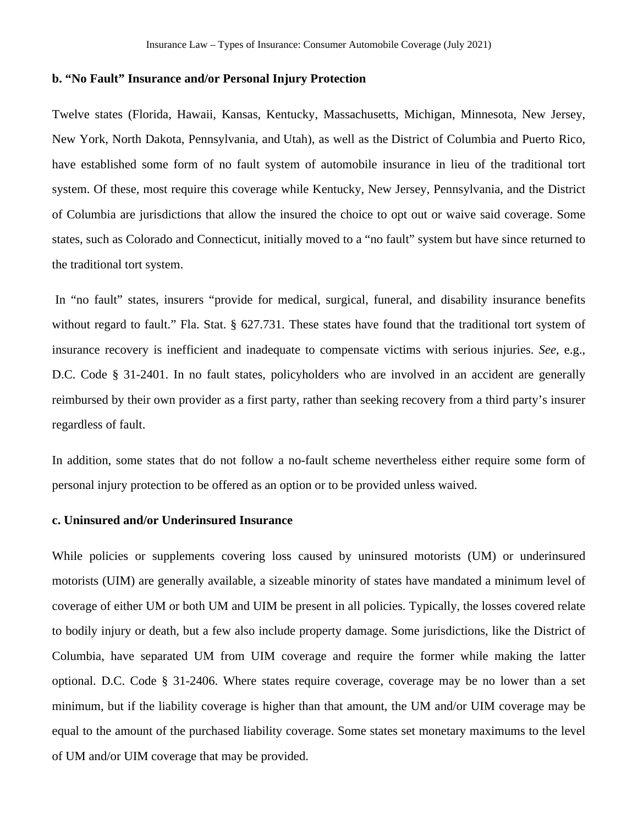#### **b. "No Fault" Insurance and/or Personal Injury Protection**

Twelve states (Florida, Hawaii, Kansas, Kentucky, Massachusetts, Michigan, Minnesota, New Jersey, New York, North Dakota, Pennsylvania, and Utah), as well as the District of Columbia and Puerto Rico, have established some form of no fault system of automobile insurance in lieu of the traditional tort system. Of these, most require this coverage while Kentucky, New Jersey, Pennsylvania, and the District of Columbia are jurisdictions that allow the insured the choice to opt out or waive said coverage. Some states, such as Colorado and Connecticut, initially moved to a "no fault" system but have since returned to the traditional tort system.

 In "no fault" states, insurers "provide for medical, surgical, funeral, and disability insurance benefits without regard to fault." Fla. Stat. § 627.731. These states have found that the traditional tort system of insurance recovery is inefficient and inadequate to compensate victims with serious injuries. *See*, e.g., D.C. Code § 31-2401. In no fault states, policyholders who are involved in an accident are generally reimbursed by their own provider as a first party, rather than seeking recovery from a third party's insurer regardless of fault.

In addition, some states that do not follow a no-fault scheme nevertheless either require some form of personal injury protection to be offered as an option or to be provided unless waived.

#### **c. Uninsured and/or Underinsured Insurance**

While policies or supplements covering loss caused by uninsured motorists (UM) or underinsured motorists (UIM) are generally available, a sizeable minority of states have mandated a minimum level of coverage of either UM or both UM and UIM be present in all policies. Typically, the losses covered relate to bodily injury or death, but a few also include property damage. Some jurisdictions, like the District of Columbia, have separated UM from UIM coverage and require the former while making the latter optional. D.C. Code § 31-2406. Where states require coverage, coverage may be no lower than a set minimum, but if the liability coverage is higher than that amount, the UM and/or UIM coverage may be equal to the amount of the purchased liability coverage. Some states set monetary maximums to the level of UM and/or UIM coverage that may be provided.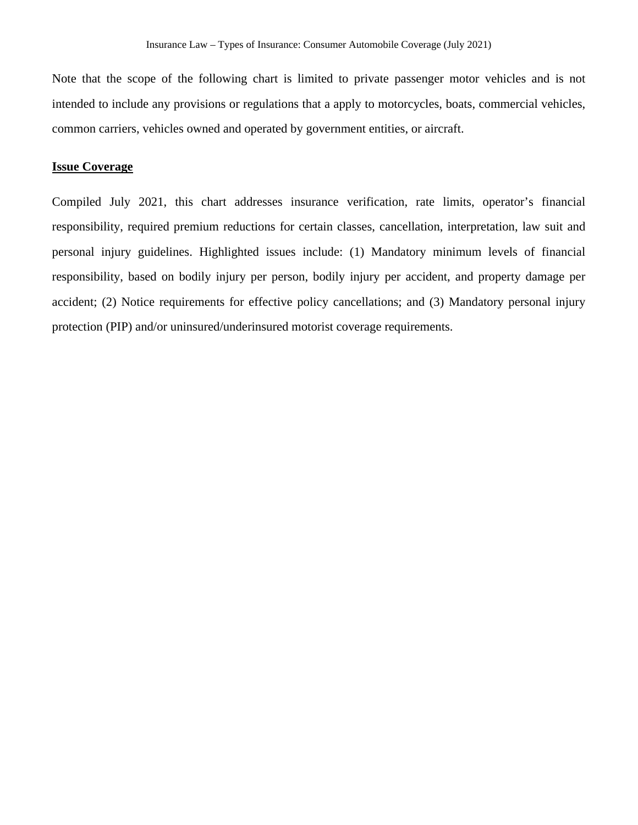Note that the scope of the following chart is limited to private passenger motor vehicles and is not intended to include any provisions or regulations that a apply to motorcycles, boats, commercial vehicles, common carriers, vehicles owned and operated by government entities, or aircraft.

### **Issue Coverage**

Compiled July 2021, this chart addresses insurance verification, rate limits, operator's financial responsibility, required premium reductions for certain classes, cancellation, interpretation, law suit and personal injury guidelines. Highlighted issues include: (1) Mandatory minimum levels of financial responsibility, based on bodily injury per person, bodily injury per accident, and property damage per accident; (2) Notice requirements for effective policy cancellations; and (3) Mandatory personal injury protection (PIP) and/or uninsured/underinsured motorist coverage requirements.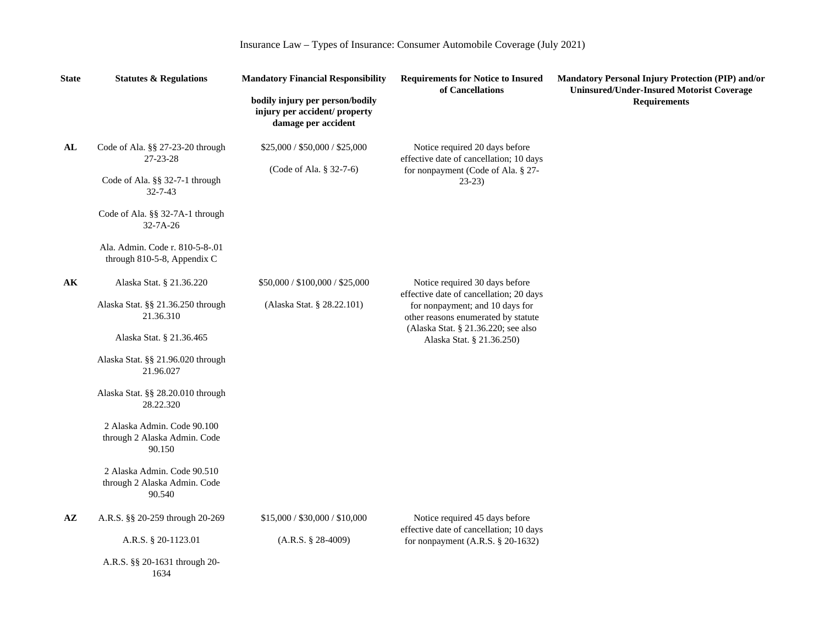| <b>State</b> | <b>Statutes &amp; Regulations</b>                                                                                                                                                                                      | <b>Mandatory Financial Responsibility</b>                                               | <b>Requirements for Notice to Insured</b><br>of Cancellations                                                                                                                                                           | Mandatory Personal Injury Protection (PIP) and/or<br><b>Uninsured/Under-Insured Motorist Coverage</b> |  |
|--------------|------------------------------------------------------------------------------------------------------------------------------------------------------------------------------------------------------------------------|-----------------------------------------------------------------------------------------|-------------------------------------------------------------------------------------------------------------------------------------------------------------------------------------------------------------------------|-------------------------------------------------------------------------------------------------------|--|
|              |                                                                                                                                                                                                                        | bodily injury per person/bodily<br>injury per accident/ property<br>damage per accident |                                                                                                                                                                                                                         | <b>Requirements</b>                                                                                   |  |
| AL           | Code of Ala. §§ 27-23-20 through<br>27-23-28<br>Code of Ala. §§ 32-7-1 through<br>$32 - 7 - 43$<br>Code of Ala. §§ 32-7A-1 through<br>$32 - 7A - 26$<br>Ala. Admin. Code r. 810-5-8-.01<br>through 810-5-8, Appendix C | \$25,000 / \$50,000 / \$25,000<br>(Code of Ala. § 32-7-6)                               | Notice required 20 days before<br>effective date of cancellation; 10 days<br>for nonpayment (Code of Ala. § 27-<br>$23-23$                                                                                              |                                                                                                       |  |
| AK           | Alaska Stat. § 21.36.220<br>Alaska Stat. §§ 21.36.250 through<br>21.36.310<br>Alaska Stat. § 21.36.465<br>Alaska Stat. §§ 21.96.020 through<br>21.96.027                                                               | \$50,000 / \$100,000 / \$25,000<br>(Alaska Stat. § 28.22.101)                           | Notice required 30 days before<br>effective date of cancellation; 20 days<br>for nonpayment; and 10 days for<br>other reasons enumerated by statute<br>(Alaska Stat. § 21.36.220; see also<br>Alaska Stat. § 21.36.250) |                                                                                                       |  |
|              | Alaska Stat. §§ 28.20.010 through<br>28.22.320<br>2 Alaska Admin. Code 90.100<br>through 2 Alaska Admin. Code<br>90.150<br>2 Alaska Admin. Code 90.510<br>through 2 Alaska Admin. Code<br>90.540                       |                                                                                         |                                                                                                                                                                                                                         |                                                                                                       |  |
| AZ           | A.R.S. §§ 20-259 through 20-269<br>A.R.S. § 20-1123.01                                                                                                                                                                 | \$15,000 / \$30,000 / \$10,000<br>$(A.R.S. § 28-4009)$                                  | Notice required 45 days before<br>effective date of cancellation; 10 days<br>for nonpayment $(A.R.S. § 20-1632)$                                                                                                        |                                                                                                       |  |
|              | A.R.S. §§ 20-1631 through 20-<br>1634                                                                                                                                                                                  |                                                                                         |                                                                                                                                                                                                                         |                                                                                                       |  |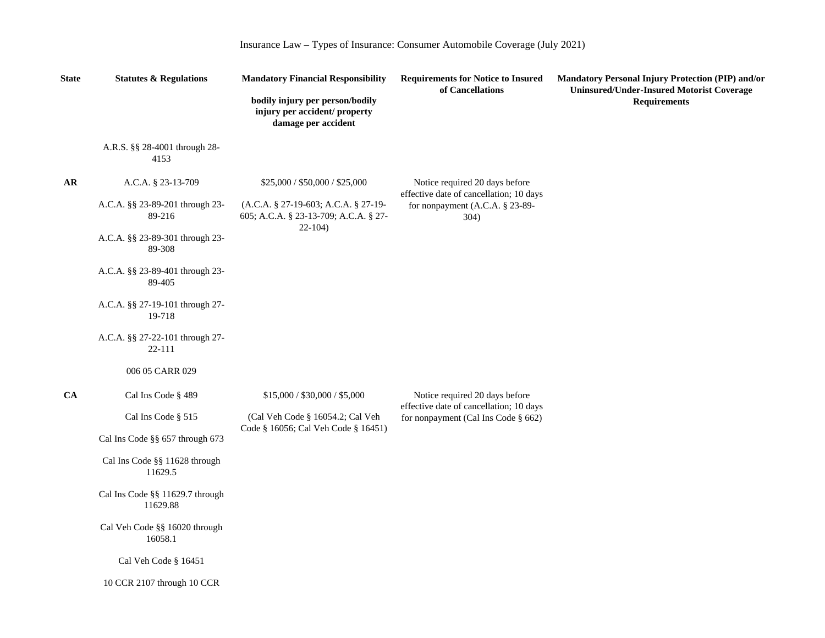| <b>State</b> | <b>Statutes &amp; Regulations</b>           | <b>Mandatory Financial Responsibility</b>                                               | <b>Requirements for Notice to Insured</b><br>of Cancellations                  | Mandatory Personal Injury Protection (PIP) and/or<br><b>Uninsured/Under-Insured Motorist Coverage</b> |  |
|--------------|---------------------------------------------|-----------------------------------------------------------------------------------------|--------------------------------------------------------------------------------|-------------------------------------------------------------------------------------------------------|--|
|              |                                             | bodily injury per person/bodily<br>injury per accident/ property<br>damage per accident |                                                                                | <b>Requirements</b>                                                                                   |  |
|              | A.R.S. §§ 28-4001 through 28-<br>4153       |                                                                                         |                                                                                |                                                                                                       |  |
| AR.          | A.C.A. § 23-13-709                          | \$25,000 / \$50,000 / \$25,000                                                          | Notice required 20 days before<br>effective date of cancellation; 10 days      |                                                                                                       |  |
|              | A.C.A. §§ 23-89-201 through 23-<br>89-216   | (A.C.A. § 27-19-603; A.C.A. § 27-19-<br>605; A.C.A. § 23-13-709; A.C.A. § 27-           | for nonpayment (A.C.A. § 23-89-<br>304)                                        |                                                                                                       |  |
|              | A.C.A. §§ 23-89-301 through 23-<br>89-308   | $22 - 104$                                                                              |                                                                                |                                                                                                       |  |
|              | A.C.A. §§ 23-89-401 through 23-<br>89-405   |                                                                                         |                                                                                |                                                                                                       |  |
|              | A.C.A. §§ 27-19-101 through 27-<br>19-718   |                                                                                         |                                                                                |                                                                                                       |  |
|              | A.C.A. §§ 27-22-101 through 27-<br>22-111   |                                                                                         |                                                                                |                                                                                                       |  |
|              | 006 05 CARR 029                             |                                                                                         |                                                                                |                                                                                                       |  |
| CA           | Cal Ins Code § 489                          | \$15,000 / \$30,000 / \$5,000                                                           | Notice required 20 days before                                                 |                                                                                                       |  |
|              | Cal Ins Code § 515                          | (Cal Veh Code § 16054.2; Cal Veh                                                        | effective date of cancellation; 10 days<br>for nonpayment (Cal Ins Code § 662) |                                                                                                       |  |
|              | Cal Ins Code §§ 657 through 673             | Code § 16056; Cal Veh Code § 16451)                                                     |                                                                                |                                                                                                       |  |
|              | Cal Ins Code §§ 11628 through<br>11629.5    |                                                                                         |                                                                                |                                                                                                       |  |
|              | Cal Ins Code §§ 11629.7 through<br>11629.88 |                                                                                         |                                                                                |                                                                                                       |  |
|              | Cal Veh Code §§ 16020 through<br>16058.1    |                                                                                         |                                                                                |                                                                                                       |  |
|              | Cal Veh Code § 16451                        |                                                                                         |                                                                                |                                                                                                       |  |
|              | 10 CCR 2107 through 10 CCR                  |                                                                                         |                                                                                |                                                                                                       |  |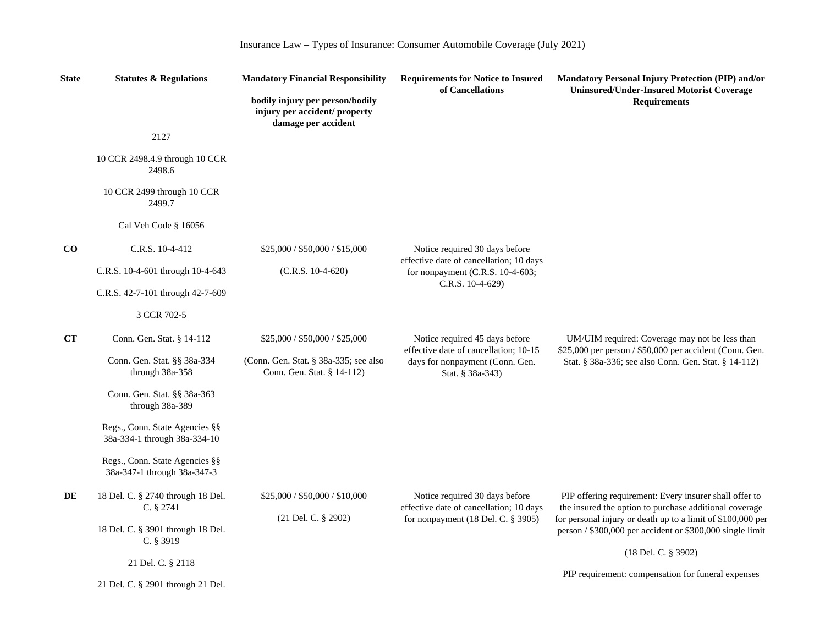| Insurance Law - Types of Insurance: Consumer Automobile Coverage (July 2021) |  |  |  |  |
|------------------------------------------------------------------------------|--|--|--|--|
|                                                                              |  |  |  |  |

| <b>State</b> | <b>Statutes &amp; Regulations</b>                              |                                                                                         |                                                                                              | <b>Mandatory Financial Responsibility</b>                                                                                                                                       | <b>Requirements for Notice to Insured</b><br>of Cancellations | <b>Mandatory Personal Injury Protection (PIP) and/or</b><br><b>Uninsured/Under-Insured Motorist Coverage</b> |
|--------------|----------------------------------------------------------------|-----------------------------------------------------------------------------------------|----------------------------------------------------------------------------------------------|---------------------------------------------------------------------------------------------------------------------------------------------------------------------------------|---------------------------------------------------------------|--------------------------------------------------------------------------------------------------------------|
|              |                                                                | bodily injury per person/bodily<br>injury per accident/ property<br>damage per accident |                                                                                              | <b>Requirements</b>                                                                                                                                                             |                                                               |                                                                                                              |
|              | 2127                                                           |                                                                                         |                                                                                              |                                                                                                                                                                                 |                                                               |                                                                                                              |
|              | 10 CCR 2498.4.9 through 10 CCR<br>2498.6                       |                                                                                         |                                                                                              |                                                                                                                                                                                 |                                                               |                                                                                                              |
|              | 10 CCR 2499 through 10 CCR<br>2499.7                           |                                                                                         |                                                                                              |                                                                                                                                                                                 |                                                               |                                                                                                              |
|              | Cal Veh Code § 16056                                           |                                                                                         |                                                                                              |                                                                                                                                                                                 |                                                               |                                                                                                              |
| $\bf CO$     | C.R.S. 10-4-412                                                | \$25,000 / \$50,000 / \$15,000                                                          | Notice required 30 days before                                                               |                                                                                                                                                                                 |                                                               |                                                                                                              |
|              | C.R.S. 10-4-601 through 10-4-643                               | $(C.R.S. 10-4-620)$                                                                     | effective date of cancellation; 10 days<br>for nonpayment (C.R.S. 10-4-603;                  |                                                                                                                                                                                 |                                                               |                                                                                                              |
|              | C.R.S. 42-7-101 through 42-7-609                               |                                                                                         | C.R.S. 10-4-629)                                                                             |                                                                                                                                                                                 |                                                               |                                                                                                              |
|              | 3 CCR 702-5                                                    |                                                                                         |                                                                                              |                                                                                                                                                                                 |                                                               |                                                                                                              |
| CT           | Conn. Gen. Stat. § 14-112                                      | \$25,000 / \$50,000 / \$25,000                                                          | Notice required 45 days before                                                               | UM/UIM required: Coverage may not be less than                                                                                                                                  |                                                               |                                                                                                              |
|              | Conn. Gen. Stat. §§ 38a-334<br>through 38a-358                 | (Conn. Gen. Stat. § 38a-335; see also<br>Conn. Gen. Stat. § 14-112)                     | effective date of cancellation; 10-15<br>days for nonpayment (Conn. Gen.<br>Stat. § 38a-343) | \$25,000 per person / \$50,000 per accident (Conn. Gen.<br>Stat. § 38a-336; see also Conn. Gen. Stat. § 14-112)                                                                 |                                                               |                                                                                                              |
|              | Conn. Gen. Stat. §§ 38a-363<br>through 38a-389                 |                                                                                         |                                                                                              |                                                                                                                                                                                 |                                                               |                                                                                                              |
|              | Regs., Conn. State Agencies §§<br>38a-334-1 through 38a-334-10 |                                                                                         |                                                                                              |                                                                                                                                                                                 |                                                               |                                                                                                              |
|              | Regs., Conn. State Agencies §§<br>38a-347-1 through 38a-347-3  |                                                                                         |                                                                                              |                                                                                                                                                                                 |                                                               |                                                                                                              |
| DE           | 18 Del. C. § 2740 through 18 Del.<br>C. § 2741                 | \$25,000 / \$50,000 / \$10,000<br>(21 Del. C. § 2902)                                   | Notice required 30 days before<br>effective date of cancellation; 10 days                    | PIP offering requirement: Every insurer shall offer to<br>the insured the option to purchase additional coverage<br>for personal injury or death up to a limit of \$100,000 per |                                                               |                                                                                                              |
|              | 18 Del. C. § 3901 through 18 Del.<br>C. § 3919                 |                                                                                         | for nonpayment (18 Del. C. § 3905)                                                           | person / \$300,000 per accident or \$300,000 single limit                                                                                                                       |                                                               |                                                                                                              |
|              | 21 Del. C. § 2118                                              |                                                                                         |                                                                                              | (18 Del. C. § 3902)                                                                                                                                                             |                                                               |                                                                                                              |
|              | 21 Del. C. § 2901 through 21 Del.                              |                                                                                         |                                                                                              | PIP requirement: compensation for funeral expenses                                                                                                                              |                                                               |                                                                                                              |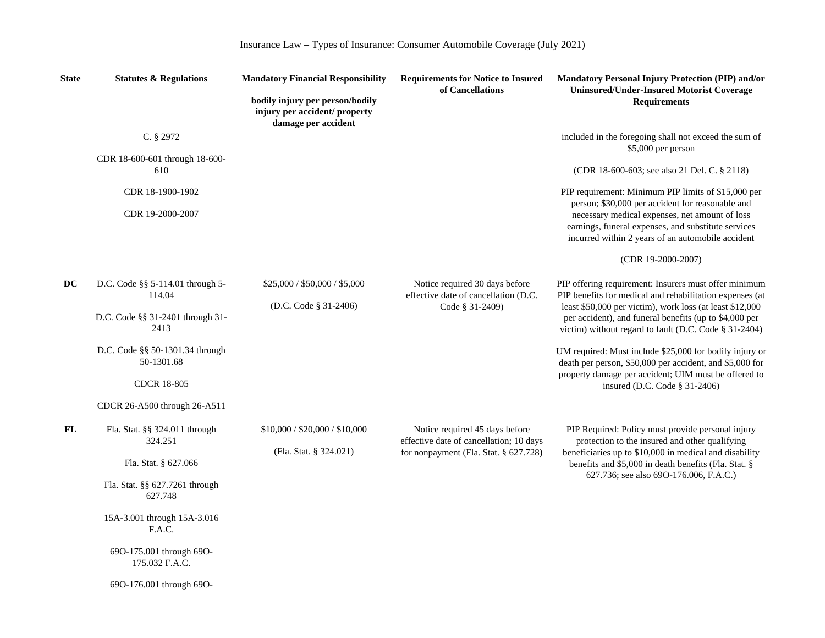| Insurance Law - Types of Insurance: Consumer Automobile Coverage (July 2021) |  |  |  |  |  |
|------------------------------------------------------------------------------|--|--|--|--|--|
|------------------------------------------------------------------------------|--|--|--|--|--|

| <b>State</b> | <b>Statutes &amp; Regulations</b>              | <b>Mandatory Financial Responsibility</b>                                               | <b>Requirements for Notice to Insured</b><br>of Cancellations             | Mandatory Personal Injury Protection (PIP) and/or<br><b>Uninsured/Under-Insured Motorist Coverage</b>                                                                       |
|--------------|------------------------------------------------|-----------------------------------------------------------------------------------------|---------------------------------------------------------------------------|-----------------------------------------------------------------------------------------------------------------------------------------------------------------------------|
|              |                                                | bodily injury per person/bodily<br>injury per accident/ property<br>damage per accident |                                                                           | <b>Requirements</b>                                                                                                                                                         |
|              | C. § 2972                                      |                                                                                         |                                                                           | included in the foregoing shall not exceed the sum of<br>\$5,000 per person                                                                                                 |
|              | CDR 18-600-601 through 18-600-<br>610          |                                                                                         |                                                                           | (CDR 18-600-603; see also 21 Del. C. § 2118)                                                                                                                                |
|              | CDR 18-1900-1902                               |                                                                                         |                                                                           | PIP requirement: Minimum PIP limits of \$15,000 per<br>person; \$30,000 per accident for reasonable and                                                                     |
|              | CDR 19-2000-2007                               |                                                                                         |                                                                           | necessary medical expenses, net amount of loss<br>earnings, funeral expenses, and substitute services<br>incurred within 2 years of an automobile accident                  |
|              |                                                |                                                                                         |                                                                           | (CDR 19-2000-2007)                                                                                                                                                          |
| DC           | D.C. Code $\S$ § 5-114.01 through 5-<br>114.04 | \$25,000 / \$50,000 / \$5,000                                                           | Notice required 30 days before<br>effective date of cancellation (D.C.    | PIP offering requirement: Insurers must offer minimum<br>PIP benefits for medical and rehabilitation expenses (at                                                           |
|              | D.C. Code §§ 31-2401 through 31-<br>2413       | (D.C. Code $\S$ 31-2406)                                                                | Code § 31-2409)                                                           | least \$50,000 per victim), work loss (at least \$12,000<br>per accident), and funeral benefits (up to \$4,000 per<br>victim) without regard to fault (D.C. Code § 31-2404) |
|              | D.C. Code §§ 50-1301.34 through<br>50-1301.68  |                                                                                         |                                                                           | UM required: Must include \$25,000 for bodily injury or<br>death per person, \$50,000 per accident, and \$5,000 for<br>property damage per accident; UIM must be offered to |
|              | <b>CDCR 18-805</b>                             |                                                                                         |                                                                           | insured (D.C. Code § 31-2406)                                                                                                                                               |
|              | CDCR 26-A500 through 26-A511                   |                                                                                         |                                                                           |                                                                                                                                                                             |
| FL           | Fla. Stat. §§ 324.011 through<br>324.251       | \$10,000 / \$20,000 / \$10,000                                                          | Notice required 45 days before<br>effective date of cancellation; 10 days | PIP Required: Policy must provide personal injury<br>protection to the insured and other qualifying                                                                         |
|              | Fla. Stat. § 627.066                           | (Fla. Stat. § 324.021)                                                                  | for nonpayment (Fla. Stat. § 627.728)                                     | beneficiaries up to \$10,000 in medical and disability<br>benefits and \$5,000 in death benefits (Fla. Stat. §                                                              |
|              | Fla. Stat. §§ 627.7261 through<br>627.748      |                                                                                         |                                                                           | 627.736; see also 690-176.006, F.A.C.)                                                                                                                                      |
|              | 15A-3.001 through 15A-3.016<br>F.A.C.          |                                                                                         |                                                                           |                                                                                                                                                                             |
|              | 69O-175.001 through 69O-<br>175.032 F.A.C.     |                                                                                         |                                                                           |                                                                                                                                                                             |
|              | 690-176.001 through 690-                       |                                                                                         |                                                                           |                                                                                                                                                                             |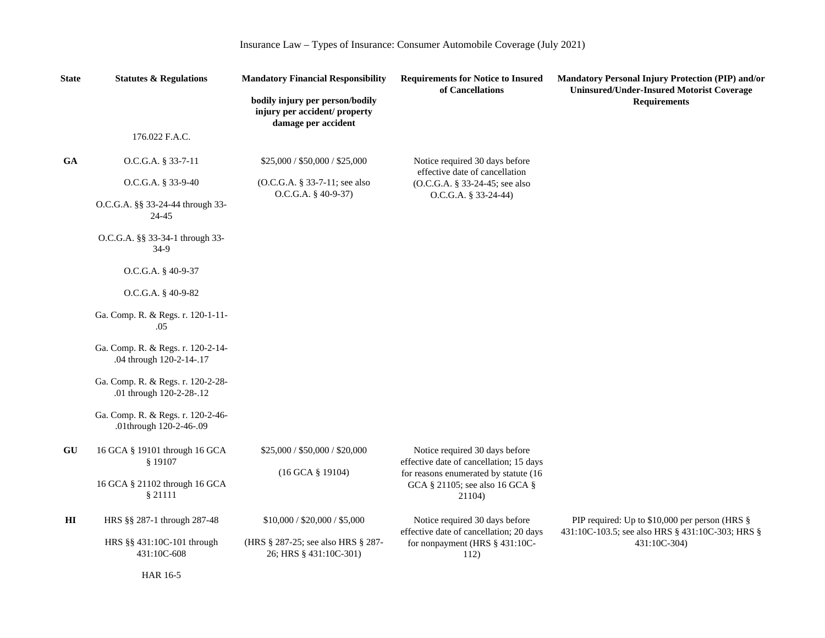| <b>State</b>   | <b>Statutes &amp; Regulations</b>                             | <b>Mandatory Financial Responsibility</b>                                               |                                                                                   | <b>Requirements for Notice to Insured</b><br>of Cancellations    | <b>Mandatory Personal Injury Protection (PIP) and/or</b><br><b>Uninsured/Under-Insured Motorist Coverage</b> |  |
|----------------|---------------------------------------------------------------|-----------------------------------------------------------------------------------------|-----------------------------------------------------------------------------------|------------------------------------------------------------------|--------------------------------------------------------------------------------------------------------------|--|
|                |                                                               | bodily injury per person/bodily<br>injury per accident/ property<br>damage per accident |                                                                                   | <b>Requirements</b>                                              |                                                                                                              |  |
|                | 176.022 F.A.C.                                                |                                                                                         |                                                                                   |                                                                  |                                                                                                              |  |
| <b>GA</b>      | O.C.G.A. § 33-7-11                                            | \$25,000 / \$50,000 / \$25,000                                                          | Notice required 30 days before<br>effective date of cancellation                  |                                                                  |                                                                                                              |  |
|                | O.C.G.A. § 33-9-40                                            | (O.C.G.A. § 33-7-11; see also<br>O.C.G.A. § 40-9-37)                                    | (O.C.G.A. § 33-24-45; see also<br>O.C.G.A. § 33-24-44)                            |                                                                  |                                                                                                              |  |
|                | O.C.G.A. §§ 33-24-44 through 33-<br>24-45                     |                                                                                         |                                                                                   |                                                                  |                                                                                                              |  |
|                | O.C.G.A. §§ 33-34-1 through 33-<br>$34-9$                     |                                                                                         |                                                                                   |                                                                  |                                                                                                              |  |
|                | O.C.G.A. § 40-9-37                                            |                                                                                         |                                                                                   |                                                                  |                                                                                                              |  |
|                | O.C.G.A. § 40-9-82                                            |                                                                                         |                                                                                   |                                                                  |                                                                                                              |  |
|                | Ga. Comp. R. & Regs. r. 120-1-11-<br>.05                      |                                                                                         |                                                                                   |                                                                  |                                                                                                              |  |
|                | Ga. Comp. R. & Regs. r. 120-2-14-<br>.04 through 120-2-14-.17 |                                                                                         |                                                                                   |                                                                  |                                                                                                              |  |
|                | Ga. Comp. R. & Regs. r. 120-2-28-<br>.01 through 120-2-28-.12 |                                                                                         |                                                                                   |                                                                  |                                                                                                              |  |
|                | Ga. Comp. R. & Regs. r. 120-2-46-<br>.01through 120-2-46-.09  |                                                                                         |                                                                                   |                                                                  |                                                                                                              |  |
| GU             | 16 GCA § 19101 through 16 GCA<br>§ 19107                      | \$25,000 / \$50,000 / \$20,000<br>(16 GCA § 19104)                                      | Notice required 30 days before<br>effective date of cancellation; 15 days         |                                                                  |                                                                                                              |  |
|                | 16 GCA § 21102 through 16 GCA<br>§ 21111                      |                                                                                         | for reasons enumerated by statute (16<br>GCA § 21105; see also 16 GCA §<br>21104) |                                                                  |                                                                                                              |  |
| H <sub>I</sub> | HRS §§ 287-1 through 287-48                                   | \$10,000 / \$20,000 / \$5,000                                                           | Notice required 30 days before<br>effective date of cancellation; 20 days         | PIP required: Up to \$10,000 per person (HRS §                   |                                                                                                              |  |
|                | HRS §§ 431:10C-101 through<br>431:10C-608                     | (HRS § 287-25; see also HRS § 287-<br>26; HRS § 431:10C-301)                            | for nonpayment (HRS § 431:10C-<br>112)                                            | 431:10C-103.5; see also HRS § 431:10C-303; HRS §<br>431:10C-304) |                                                                                                              |  |

HAR 16-5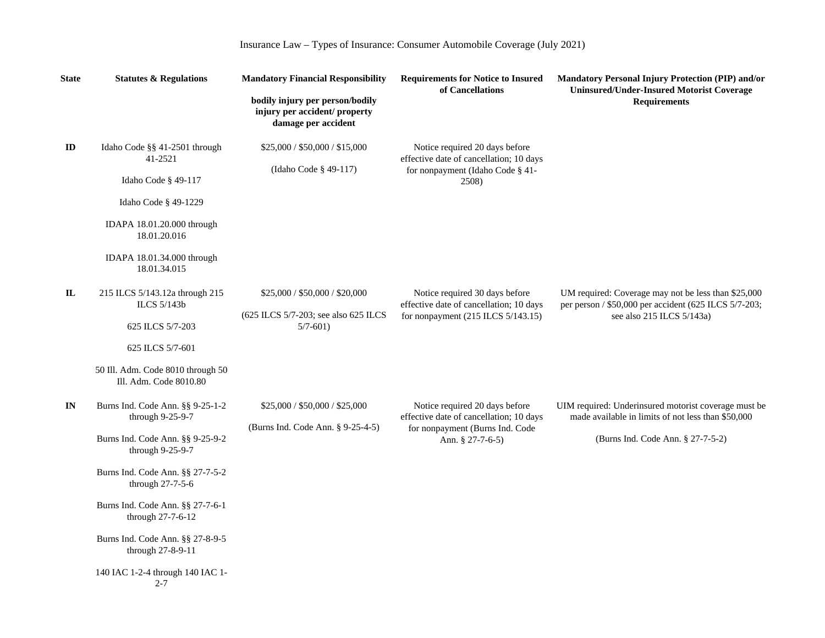| <b>State</b> | <b>Statutes &amp; Regulations</b>                                                                                                                                                                                                                                                                                                     | <b>Mandatory Financial Responsibility</b>                                               | <b>Requirements for Notice to Insured</b><br>of Cancellations                                                                    | <b>Mandatory Personal Injury Protection (PIP) and/or</b><br><b>Uninsured/Under-Insured Motorist Coverage</b>                                    |  |
|--------------|---------------------------------------------------------------------------------------------------------------------------------------------------------------------------------------------------------------------------------------------------------------------------------------------------------------------------------------|-----------------------------------------------------------------------------------------|----------------------------------------------------------------------------------------------------------------------------------|-------------------------------------------------------------------------------------------------------------------------------------------------|--|
|              |                                                                                                                                                                                                                                                                                                                                       | bodily injury per person/bodily<br>injury per accident/ property<br>damage per accident |                                                                                                                                  | <b>Requirements</b>                                                                                                                             |  |
| ID           | Idaho Code §§ 41-2501 through<br>41-2521<br>Idaho Code § 49-117<br>Idaho Code $\S$ 49-1229<br>IDAPA 18.01.20.000 through<br>18.01.20.016<br>IDAPA 18.01.34.000 through<br>18.01.34.015                                                                                                                                                | \$25,000 / \$50,000 / \$15,000<br>(Idaho Code § 49-117)                                 | Notice required 20 days before<br>effective date of cancellation; 10 days<br>for nonpayment (Idaho Code § 41-<br>2508)           |                                                                                                                                                 |  |
| $\mathbf{I}$ | 215 ILCS 5/143.12a through 215<br>ILCS 5/143b<br>625 ILCS 5/7-203<br>625 ILCS 5/7-601<br>50 Ill. Adm. Code 8010 through 50<br>Ill. Adm. Code 8010.80                                                                                                                                                                                  | \$25,000 / \$50,000 / \$20,000<br>(625 ILCS 5/7-203; see also 625 ILCS)<br>$5/7 - 601$  | Notice required 30 days before<br>effective date of cancellation; 10 days<br>for nonpayment (215 ILCS 5/143.15)                  | UM required: Coverage may not be less than \$25,000<br>per person / \$50,000 per accident (625 ILCS 5/7-203;<br>see also 215 ILCS 5/143a)       |  |
| IN           | Burns Ind. Code Ann. §§ 9-25-1-2<br>through 9-25-9-7<br>Burns Ind. Code Ann. §§ 9-25-9-2<br>through 9-25-9-7<br>Burns Ind. Code Ann. §§ 27-7-5-2<br>through 27-7-5-6<br>Burns Ind. Code Ann. §§ 27-7-6-1<br>through 27-7-6-12<br>Burns Ind. Code Ann. §§ 27-8-9-5<br>through 27-8-9-11<br>140 IAC 1-2-4 through 140 IAC 1-<br>$2 - 7$ | \$25,000 / \$50,000 / \$25,000<br>(Burns Ind. Code Ann. § 9-25-4-5)                     | Notice required 20 days before<br>effective date of cancellation; 10 days<br>for nonpayment (Burns Ind. Code<br>Ann. § 27-7-6-5) | UIM required: Underinsured motorist coverage must be<br>made available in limits of not less than \$50,000<br>(Burns Ind. Code Ann. § 27-7-5-2) |  |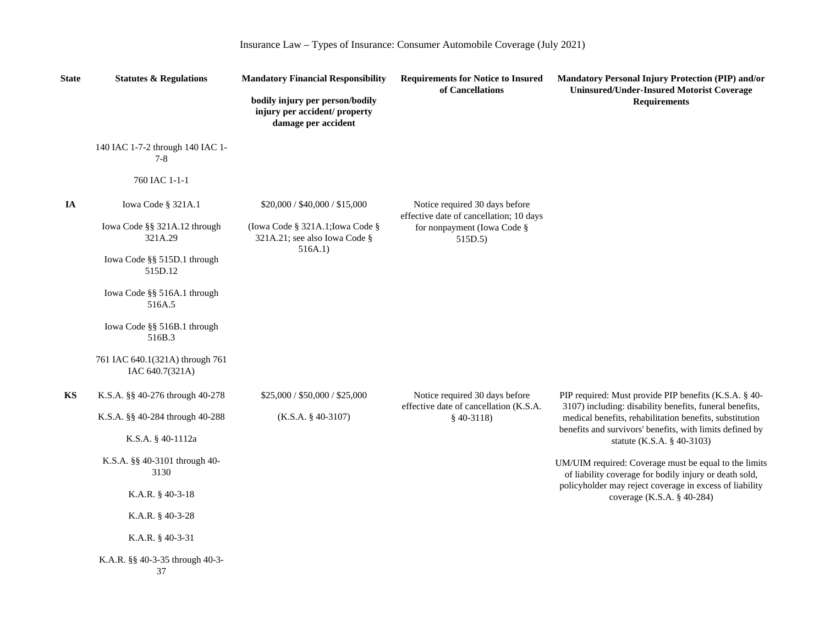| Insurance Law – Types of Insurance: Consumer Automobile Coverage (July 2021) |  |  |  |  |
|------------------------------------------------------------------------------|--|--|--|--|
|                                                                              |  |  |  |  |

| <b>State</b> | <b>Statutes &amp; Regulations</b>                  | <b>Mandatory Financial Responsibility</b>                                               |                                                                                   | Mandatory Personal Injury Protection (PIP) and/or<br><b>Uninsured/Under-Insured Motorist Coverage</b>              |  |
|--------------|----------------------------------------------------|-----------------------------------------------------------------------------------------|-----------------------------------------------------------------------------------|--------------------------------------------------------------------------------------------------------------------|--|
|              |                                                    | bodily injury per person/bodily<br>injury per accident/ property<br>damage per accident | of Cancellations                                                                  | <b>Requirements</b>                                                                                                |  |
|              | 140 IAC 1-7-2 through 140 IAC 1-<br>$7 - 8$        |                                                                                         |                                                                                   |                                                                                                                    |  |
|              | 760 IAC 1-1-1                                      |                                                                                         |                                                                                   |                                                                                                                    |  |
| IA           | Iowa Code § 321A.1                                 | \$20,000 / \$40,000 / \$15,000                                                          | Notice required 30 days before                                                    |                                                                                                                    |  |
|              | Iowa Code §§ 321A.12 through<br>321A.29            | (Iowa Code § 321A.1; Iowa Code §<br>321A.21; see also Iowa Code §<br>516A.1)            | effective date of cancellation; 10 days<br>for nonpayment (Iowa Code §<br>515D.5) |                                                                                                                    |  |
|              | Iowa Code §§ 515D.1 through<br>515D.12             |                                                                                         |                                                                                   |                                                                                                                    |  |
|              | Iowa Code §§ 516A.1 through<br>516A.5              |                                                                                         |                                                                                   |                                                                                                                    |  |
|              | Iowa Code §§ 516B.1 through<br>516B.3              |                                                                                         |                                                                                   |                                                                                                                    |  |
|              | 761 IAC 640.1(321A) through 761<br>IAC 640.7(321A) |                                                                                         |                                                                                   |                                                                                                                    |  |
| KS           | K.S.A. §§ 40-276 through 40-278                    | \$25,000 / \$50,000 / \$25,000                                                          | Notice required 30 days before                                                    | PIP required: Must provide PIP benefits (K.S.A. § 40-                                                              |  |
|              | K.S.A. §§ 40-284 through 40-288                    | $(K.S.A. § 40-3107)$                                                                    | effective date of cancellation (K.S.A.<br>$$40-3118$                              | 3107) including: disability benefits, funeral benefits,<br>medical benefits, rehabilitation benefits, substitution |  |
|              | K.S.A. § 40-1112a                                  |                                                                                         |                                                                                   | benefits and survivors' benefits, with limits defined by<br>statute (K.S.A. § 40-3103)                             |  |
|              | K.S.A. §§ 40-3101 through 40-<br>3130              |                                                                                         |                                                                                   | UM/UIM required: Coverage must be equal to the limits<br>of liability coverage for bodily injury or death sold,    |  |
|              | K.A.R. $§$ 40-3-18                                 |                                                                                         |                                                                                   | policyholder may reject coverage in excess of liability<br>coverage (K.S.A. § 40-284)                              |  |
|              | K.A.R. § 40-3-28                                   |                                                                                         |                                                                                   |                                                                                                                    |  |
|              | K.A.R. $§$ 40-3-31                                 |                                                                                         |                                                                                   |                                                                                                                    |  |
|              | K.A.R. §§ 40-3-35 through 40-3-<br>37              |                                                                                         |                                                                                   |                                                                                                                    |  |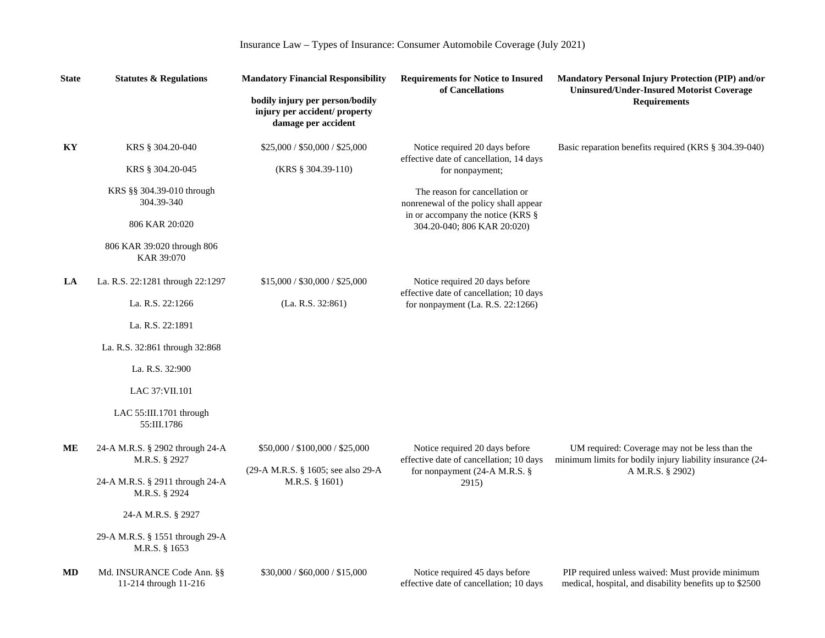| <b>State</b> | <b>Statutes &amp; Regulations</b>                   |                                                                                         |                                                                              | <b>Mandatory Financial Responsibility</b>                                                                                       |  | Mandatory Personal Injury Protection (PIP) and/or<br><b>Uninsured/Under-Insured Motorist Coverage</b> |
|--------------|-----------------------------------------------------|-----------------------------------------------------------------------------------------|------------------------------------------------------------------------------|---------------------------------------------------------------------------------------------------------------------------------|--|-------------------------------------------------------------------------------------------------------|
|              |                                                     | bodily injury per person/bodily<br>injury per accident/ property<br>damage per accident | of Cancellations                                                             | <b>Requirements</b>                                                                                                             |  |                                                                                                       |
| KY           | KRS § 304.20-040                                    | \$25,000 / \$50,000 / \$25,000                                                          | Notice required 20 days before<br>effective date of cancellation, 14 days    | Basic reparation benefits required (KRS § 304.39-040)                                                                           |  |                                                                                                       |
|              | KRS § 304.20-045                                    | $(KRS \S 304.39-110)$                                                                   | for nonpayment;                                                              |                                                                                                                                 |  |                                                                                                       |
|              | KRS §§ 304.39-010 through<br>304.39-340             |                                                                                         | The reason for cancellation or<br>nonrenewal of the policy shall appear      |                                                                                                                                 |  |                                                                                                       |
|              | 806 KAR 20:020                                      |                                                                                         | in or accompany the notice (KRS §<br>304.20-040; 806 KAR 20:020)             |                                                                                                                                 |  |                                                                                                       |
|              | 806 KAR 39:020 through 806<br>KAR 39:070            |                                                                                         |                                                                              |                                                                                                                                 |  |                                                                                                       |
| LA           | La. R.S. 22:1281 through 22:1297                    | \$15,000 / \$30,000 / \$25,000                                                          | Notice required 20 days before                                               |                                                                                                                                 |  |                                                                                                       |
|              | La. R.S. 22:1266                                    | (La. R.S. 32:861)                                                                       | effective date of cancellation; 10 days<br>for nonpayment (La. R.S. 22:1266) |                                                                                                                                 |  |                                                                                                       |
|              | La. R.S. 22:1891                                    |                                                                                         |                                                                              |                                                                                                                                 |  |                                                                                                       |
|              | La. R.S. 32:861 through 32:868                      |                                                                                         |                                                                              |                                                                                                                                 |  |                                                                                                       |
|              | La. R.S. 32:900                                     |                                                                                         |                                                                              |                                                                                                                                 |  |                                                                                                       |
|              | LAC 37: VII.101                                     |                                                                                         |                                                                              |                                                                                                                                 |  |                                                                                                       |
|              | LAC 55:III.1701 through<br>55:III.1786              |                                                                                         |                                                                              |                                                                                                                                 |  |                                                                                                       |
| MЕ           | 24-A M.R.S. § 2902 through 24-A<br>M.R.S. § 2927    | \$50,000 / \$100,000 / \$25,000                                                         | Notice required 20 days before<br>effective date of cancellation; 10 days    | UM required: Coverage may not be less than the<br>minimum limits for bodily injury liability insurance (24-<br>A M.R.S. § 2902) |  |                                                                                                       |
|              | 24-A M.R.S. § 2911 through 24-A<br>M.R.S. § 2924    | (29-A M.R.S. § 1605; see also 29-A<br>M.R.S. § 1601)                                    | for nonpayment (24-A M.R.S. §<br>2915)                                       |                                                                                                                                 |  |                                                                                                       |
|              | 24-A M.R.S. § 2927                                  |                                                                                         |                                                                              |                                                                                                                                 |  |                                                                                                       |
|              | 29-A M.R.S. § 1551 through 29-A<br>M.R.S. § 1653    |                                                                                         |                                                                              |                                                                                                                                 |  |                                                                                                       |
| MD           | Md. INSURANCE Code Ann. §§<br>11-214 through 11-216 | \$30,000 / \$60,000 / \$15,000                                                          | Notice required 45 days before<br>effective date of cancellation; 10 days    | PIP required unless waived: Must provide minimum<br>medical, hospital, and disability benefits up to \$2500                     |  |                                                                                                       |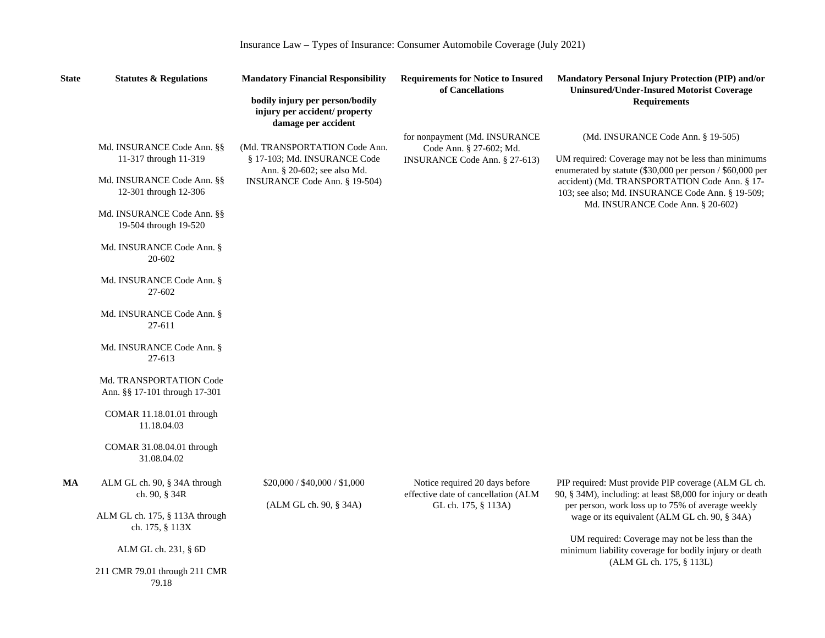| <b>State</b> | <b>Statutes &amp; Regulations</b>                                                                                                                                                                                                                                                                                                                                                                                                     |                                                                                                                               | <b>Mandatory Financial Responsibility</b>                                                    |                                                                                                                                                                                                                                                                                                                                                                 | Mandatory Personal Injury Protection (PIP) and/or<br><b>Uninsured/Under-Insured Motorist Coverage</b> |
|--------------|---------------------------------------------------------------------------------------------------------------------------------------------------------------------------------------------------------------------------------------------------------------------------------------------------------------------------------------------------------------------------------------------------------------------------------------|-------------------------------------------------------------------------------------------------------------------------------|----------------------------------------------------------------------------------------------|-----------------------------------------------------------------------------------------------------------------------------------------------------------------------------------------------------------------------------------------------------------------------------------------------------------------------------------------------------------------|-------------------------------------------------------------------------------------------------------|
|              |                                                                                                                                                                                                                                                                                                                                                                                                                                       | bodily injury per person/bodily<br>injury per accident/ property<br>damage per accident                                       |                                                                                              | <b>Requirements</b>                                                                                                                                                                                                                                                                                                                                             |                                                                                                       |
|              | Md. INSURANCE Code Ann. §§<br>11-317 through 11-319<br>Md. INSURANCE Code Ann. §§<br>12-301 through 12-306<br>Md. INSURANCE Code Ann. §§<br>19-504 through 19-520<br>Md. INSURANCE Code Ann. §<br>20-602<br>Md. INSURANCE Code Ann. §<br>27-602<br>Md. INSURANCE Code Ann. §<br>27-611<br>Md. INSURANCE Code Ann. §<br>27-613<br>Md. TRANSPORTATION Code<br>Ann. §§ 17-101 through 17-301<br>COMAR 11.18.01.01 through<br>11.18.04.03 | (Md. TRANSPORTATION Code Ann.<br>§ 17-103; Md. INSURANCE Code<br>Ann. § 20-602; see also Md.<br>INSURANCE Code Ann. § 19-504) | for nonpayment (Md. INSURANCE)<br>Code Ann. § 27-602; Md.<br>INSURANCE Code Ann. § 27-613)   | (Md. INSURANCE Code Ann. § 19-505)<br>UM required: Coverage may not be less than minimums<br>enumerated by statute (\$30,000 per person / \$60,000 per<br>accident) (Md. TRANSPORTATION Code Ann. § 17-<br>103; see also; Md. INSURANCE Code Ann. § 19-509;<br>Md. INSURANCE Code Ann. § 20-602)                                                                |                                                                                                       |
|              | COMAR $31.08.04.01$ through<br>31.08.04.02                                                                                                                                                                                                                                                                                                                                                                                            |                                                                                                                               |                                                                                              |                                                                                                                                                                                                                                                                                                                                                                 |                                                                                                       |
| MA           | ALM GL ch. 90, § 34A through<br>ch. 90, § 34R<br>ALM GL ch. 175, § 113A through<br>ch. 175, § 113X<br>ALM GL ch. 231, § 6D                                                                                                                                                                                                                                                                                                            | \$20,000 / \$40,000 / \$1,000<br>(ALM GL ch. 90, § 34A)                                                                       | Notice required 20 days before<br>effective date of cancellation (ALM<br>GL ch. 175, § 113A) | PIP required: Must provide PIP coverage (ALM GL ch.<br>90, § 34M), including: at least \$8,000 for injury or death<br>per person, work loss up to 75% of average weekly<br>wage or its equivalent (ALM GL ch. 90, § 34A)<br>UM required: Coverage may not be less than the<br>minimum liability coverage for bodily injury or death<br>(ALM GL ch. 175, § 113L) |                                                                                                       |
|              | 211 CMR 79.01 through 211 CMR<br>79.18                                                                                                                                                                                                                                                                                                                                                                                                |                                                                                                                               |                                                                                              |                                                                                                                                                                                                                                                                                                                                                                 |                                                                                                       |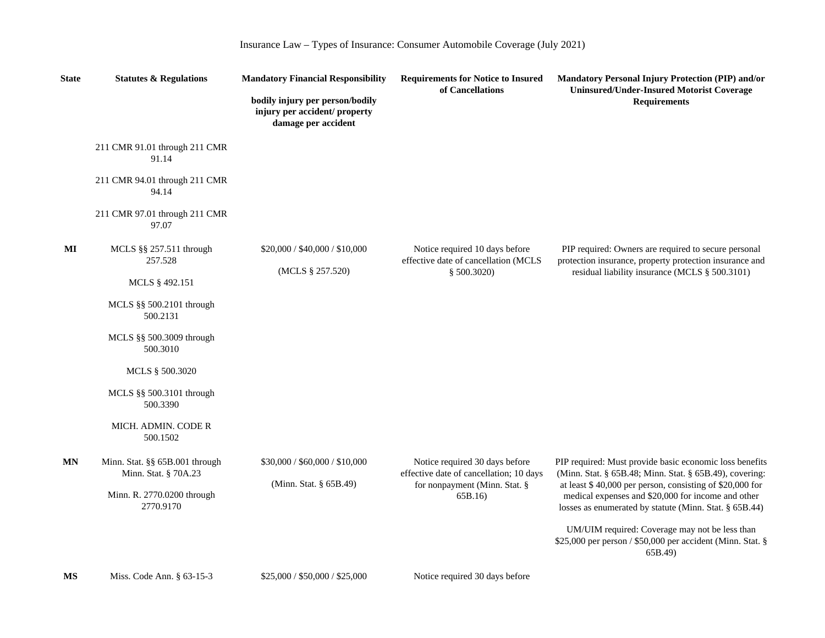| Insurance Law - Types of Insurance: Consumer Automobile Coverage (July 2021) |  |  |  |  |  |  |  |
|------------------------------------------------------------------------------|--|--|--|--|--|--|--|
|------------------------------------------------------------------------------|--|--|--|--|--|--|--|

| <b>State</b>           | <b>Statutes &amp; Regulations</b>                          | <b>Mandatory Financial Responsibility</b>                                               | <b>Requirements for Notice to Insured</b><br>of Cancellations             | Mandatory Personal Injury Protection (PIP) and/or<br><b>Uninsured/Under-Insured Motorist Coverage</b>                                                                    |
|------------------------|------------------------------------------------------------|-----------------------------------------------------------------------------------------|---------------------------------------------------------------------------|--------------------------------------------------------------------------------------------------------------------------------------------------------------------------|
|                        |                                                            | bodily injury per person/bodily<br>injury per accident/ property<br>damage per accident |                                                                           | <b>Requirements</b>                                                                                                                                                      |
|                        | 211 CMR 91.01 through 211 CMR<br>91.14                     |                                                                                         |                                                                           |                                                                                                                                                                          |
|                        | 211 CMR 94.01 through 211 CMR<br>94.14                     |                                                                                         |                                                                           |                                                                                                                                                                          |
|                        | 211 CMR 97.01 through 211 CMR<br>97.07                     |                                                                                         |                                                                           |                                                                                                                                                                          |
| $\mathbf{M}\mathbf{I}$ | MCLS $\S$ § 257.511 through<br>257.528                     | \$20,000 / \$40,000 / \$10,000<br>(MCLS § 257.520)                                      | Notice required 10 days before<br>effective date of cancellation (MCLS    | PIP required: Owners are required to secure personal<br>protection insurance, property protection insurance and                                                          |
|                        | MCLS § 492.151                                             |                                                                                         | \$500.3020)                                                               | residual liability insurance (MCLS § 500.3101)                                                                                                                           |
|                        | MCLS $\S$ 500.2101 through<br>500.2131                     |                                                                                         |                                                                           |                                                                                                                                                                          |
|                        | MCLS §§ 500.3009 through<br>500.3010                       |                                                                                         |                                                                           |                                                                                                                                                                          |
|                        | MCLS § 500.3020                                            |                                                                                         |                                                                           |                                                                                                                                                                          |
|                        | MCLS $\S$ § 500.3101 through<br>500.3390                   |                                                                                         |                                                                           |                                                                                                                                                                          |
|                        | MICH. ADMIN. CODE R<br>500.1502                            |                                                                                         |                                                                           |                                                                                                                                                                          |
| MN                     | Minn. Stat. $\S$ § 65B.001 through<br>Minn. Stat. § 70A.23 | \$30,000 / \$60,000 / \$10,000<br>(Minn. Stat. § 65B.49)                                | Notice required 30 days before<br>effective date of cancellation; 10 days | PIP required: Must provide basic economic loss benefits<br>(Minn. Stat. § 65B.48; Minn. Stat. § 65B.49), covering:                                                       |
|                        | Minn. R. 2770.0200 through<br>2770.9170                    |                                                                                         | for nonpayment (Minn. Stat. §<br>65B.16)                                  | at least \$40,000 per person, consisting of \$20,000 for<br>medical expenses and \$20,000 for income and other<br>losses as enumerated by statute (Minn. Stat. § 65B.44) |
|                        |                                                            |                                                                                         |                                                                           | UM/UIM required: Coverage may not be less than<br>\$25,000 per person / \$50,000 per accident (Minn. Stat. §<br>65B.49)                                                  |
| <b>MS</b>              | Miss. Code Ann. $§$ 63-15-3                                | \$25,000 / \$50,000 / \$25,000                                                          | Notice required 30 days before                                            |                                                                                                                                                                          |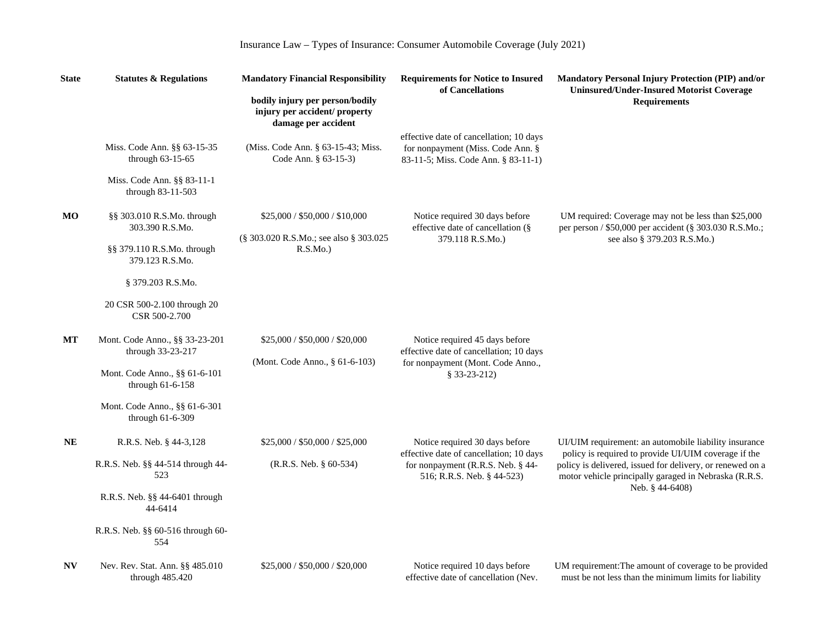| <b>State</b> | <b>Statutes &amp; Regulations</b>                                                   | <b>Mandatory Financial Responsibility</b>                                               | <b>Requirements for Notice to Insured</b><br>of Cancellations                                                       | Mandatory Personal Injury Protection (PIP) and/or<br><b>Uninsured/Under-Insured Motorist Coverage</b>                                                                      |
|--------------|-------------------------------------------------------------------------------------|-----------------------------------------------------------------------------------------|---------------------------------------------------------------------------------------------------------------------|----------------------------------------------------------------------------------------------------------------------------------------------------------------------------|
|              |                                                                                     | bodily injury per person/bodily<br>injury per accident/ property<br>damage per accident |                                                                                                                     | <b>Requirements</b>                                                                                                                                                        |
|              | Miss. Code Ann. §§ 63-15-35<br>through 63-15-65                                     | (Miss. Code Ann. § 63-15-43; Miss.<br>Code Ann. § 63-15-3)                              | effective date of cancellation; 10 days<br>for nonpayment (Miss. Code Ann. §<br>83-11-5; Miss. Code Ann. § 83-11-1) |                                                                                                                                                                            |
|              | Miss. Code Ann. §§ 83-11-1<br>through 83-11-503                                     |                                                                                         |                                                                                                                     |                                                                                                                                                                            |
| МO           | §§ 303.010 R.S.Mo. through<br>303.390 R.S.Mo.                                       | \$25,000 / \$50,000 / \$10,000                                                          | Notice required 30 days before<br>effective date of cancellation (§                                                 | UM required: Coverage may not be less than \$25,000<br>per person / \$50,000 per accident (§ 303.030 R.S.Mo.;                                                              |
|              | §§ 379.110 R.S.Mo. through<br>379.123 R.S.Mo.                                       | (§ 303.020 R.S.Mo.; see also § 303.025<br>R.S.Mo.                                       | 379.118 R.S.Mo.)                                                                                                    | see also § 379.203 R.S.Mo.)                                                                                                                                                |
|              | § 379.203 R.S.Mo.                                                                   |                                                                                         |                                                                                                                     |                                                                                                                                                                            |
|              | 20 CSR 500-2.100 through 20<br>CSR 500-2.700                                        |                                                                                         |                                                                                                                     |                                                                                                                                                                            |
| МT           | Mont. Code Anno., §§ 33-23-201<br>through 33-23-217                                 | \$25,000 / \$50,000 / \$20,000                                                          | Notice required 45 days before<br>effective date of cancellation; 10 days                                           |                                                                                                                                                                            |
|              | (Mont. Code Anno., § 61-6-103)<br>Mont. Code Anno., §§ 61-6-101<br>through 61-6-158 | for nonpayment (Mont. Code Anno.,<br>$$33-23-212)$                                      |                                                                                                                     |                                                                                                                                                                            |
|              | Mont. Code Anno., §§ 61-6-301<br>through 61-6-309                                   |                                                                                         |                                                                                                                     |                                                                                                                                                                            |
| <b>NE</b>    | R.R.S. Neb. § 44-3,128                                                              | \$25,000 / \$50,000 / \$25,000                                                          | Notice required 30 days before                                                                                      | UI/UIM requirement: an automobile liability insurance                                                                                                                      |
|              | R.R.S. Neb. §§ 44-514 through 44-<br>523                                            | (R.R.S. Neb. § 60-534)                                                                  | effective date of cancellation; 10 days<br>for nonpayment (R.R.S. Neb. § 44-<br>516; R.R.S. Neb. § 44-523)          | policy is required to provide UI/UIM coverage if the<br>policy is delivered, issued for delivery, or renewed on a<br>motor vehicle principally garaged in Nebraska (R.R.S. |
|              | R.R.S. Neb. §§ 44-6401 through<br>44-6414                                           |                                                                                         |                                                                                                                     | Neb. § 44-6408)                                                                                                                                                            |
|              | R.R.S. Neb. §§ 60-516 through 60-<br>554                                            |                                                                                         |                                                                                                                     |                                                                                                                                                                            |
| <b>NV</b>    | Nev. Rev. Stat. Ann. §§ 485.010<br>through 485.420                                  | \$25,000 / \$50,000 / \$20,000                                                          | Notice required 10 days before<br>effective date of cancellation (Nev.                                              | UM requirement: The amount of coverage to be provided<br>must be not less than the minimum limits for liability                                                            |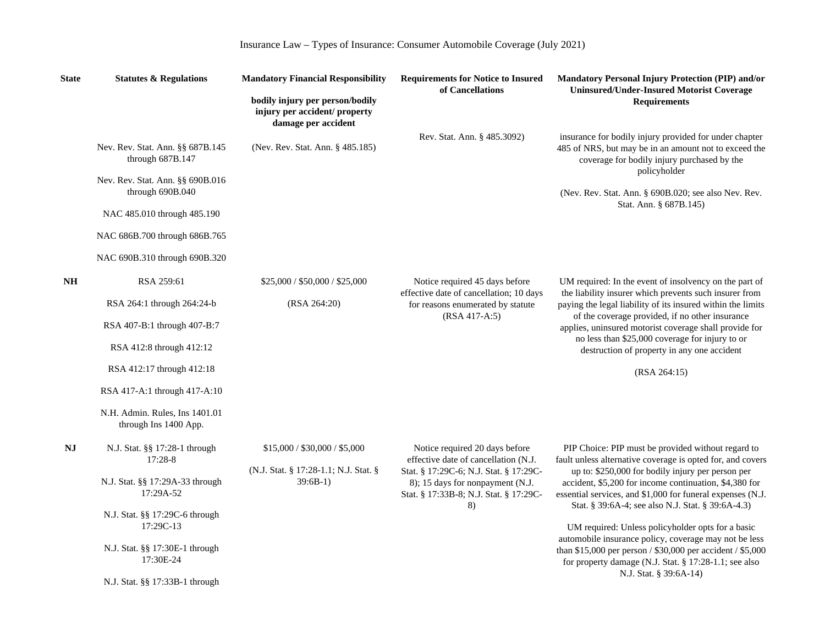| <b>State</b> | <b>Statutes &amp; Regulations</b>                       | <b>Mandatory Financial Responsibility</b>                                               | <b>Requirements for Notice to Insured</b><br>of Cancellations                                                        | Mandatory Personal Injury Protection (PIP) and/or<br><b>Uninsured/Under-Insured Motorist Coverage</b>                                                                          |
|--------------|---------------------------------------------------------|-----------------------------------------------------------------------------------------|----------------------------------------------------------------------------------------------------------------------|--------------------------------------------------------------------------------------------------------------------------------------------------------------------------------|
|              |                                                         | bodily injury per person/bodily<br>injury per accident/ property<br>damage per accident |                                                                                                                      | <b>Requirements</b>                                                                                                                                                            |
|              | Nev. Rev. Stat. Ann. §§ 687B.145<br>through 687B.147    | (Nev. Rev. Stat. Ann. § 485.185)                                                        | Rev. Stat. Ann. § 485.3092)                                                                                          | insurance for bodily injury provided for under chapter<br>485 of NRS, but may be in an amount not to exceed the<br>coverage for bodily injury purchased by the<br>policyholder |
|              | Nev. Rev. Stat. Ann. §§ 690B.016<br>through 690B.040    |                                                                                         |                                                                                                                      | (Nev. Rev. Stat. Ann. § 690B.020; see also Nev. Rev.                                                                                                                           |
|              | NAC 485.010 through 485.190                             |                                                                                         |                                                                                                                      | Stat. Ann. § 687B.145)                                                                                                                                                         |
|              | NAC 686B.700 through 686B.765                           |                                                                                         |                                                                                                                      |                                                                                                                                                                                |
|              | NAC 690B.310 through 690B.320                           |                                                                                         |                                                                                                                      |                                                                                                                                                                                |
| <b>NH</b>    | RSA 259:61                                              | \$25,000 / \$50,000 / \$25,000                                                          | Notice required 45 days before                                                                                       | UM required: In the event of insolvency on the part of                                                                                                                         |
|              | RSA 264:1 through 264:24-b                              | (RSA 264:20)                                                                            | effective date of cancellation; 10 days<br>for reasons enumerated by statute                                         | the liability insurer which prevents such insurer from<br>paying the legal liability of its insured within the limits                                                          |
|              | RSA 407-B:1 through 407-B:7                             |                                                                                         | (RSA 417-A:5)                                                                                                        | of the coverage provided, if no other insurance<br>applies, uninsured motorist coverage shall provide for                                                                      |
|              | RSA 412:8 through 412:12                                |                                                                                         |                                                                                                                      | no less than \$25,000 coverage for injury to or<br>destruction of property in any one accident                                                                                 |
|              | RSA 412:17 through 412:18                               |                                                                                         |                                                                                                                      | (RSA 264:15)                                                                                                                                                                   |
|              | RSA 417-A:1 through 417-A:10                            |                                                                                         |                                                                                                                      |                                                                                                                                                                                |
|              | N.H. Admin. Rules, Ins 1401.01<br>through Ins 1400 App. |                                                                                         |                                                                                                                      |                                                                                                                                                                                |
| NJ           | N.J. Stat. §§ 17:28-1 through<br>17:28-8                | \$15,000 / \$30,000 / \$5,000                                                           | Notice required 20 days before<br>effective date of cancellation (N.J.                                               | PIP Choice: PIP must be provided without regard to<br>fault unless alternative coverage is opted for, and covers                                                               |
|              | N.J. Stat. §§ 17:29A-33 through<br>17:29A-52            | (N.J. Stat. § 17:28-1.1; N.J. Stat. §<br>$39:6B-1)$                                     | Stat. § 17:29C-6; N.J. Stat. § 17:29C-<br>8); 15 days for nonpayment (N.J.<br>Stat. § 17:33B-8; N.J. Stat. § 17:29C- | up to: \$250,000 for bodily injury per person per<br>accident, \$5,200 for income continuation, \$4,380 for<br>essential services, and \$1,000 for funeral expenses (N.J.      |
|              | N.J. Stat. §§ 17:29C-6 through<br>17:29C-13             |                                                                                         | 8)                                                                                                                   | Stat. § 39:6A-4; see also N.J. Stat. § 39:6A-4.3)<br>UM required: Unless policyholder opts for a basic                                                                         |
|              | N.J. Stat. §§ 17:30E-1 through<br>17:30E-24             |                                                                                         |                                                                                                                      | automobile insurance policy, coverage may not be less<br>than \$15,000 per person / \$30,000 per accident / \$5,000<br>for property damage (N.J. Stat. § 17:28-1.1; see also   |
|              | N.J. Stat. §§ 17:33B-1 through                          |                                                                                         |                                                                                                                      | N.J. Stat. § 39:6A-14)                                                                                                                                                         |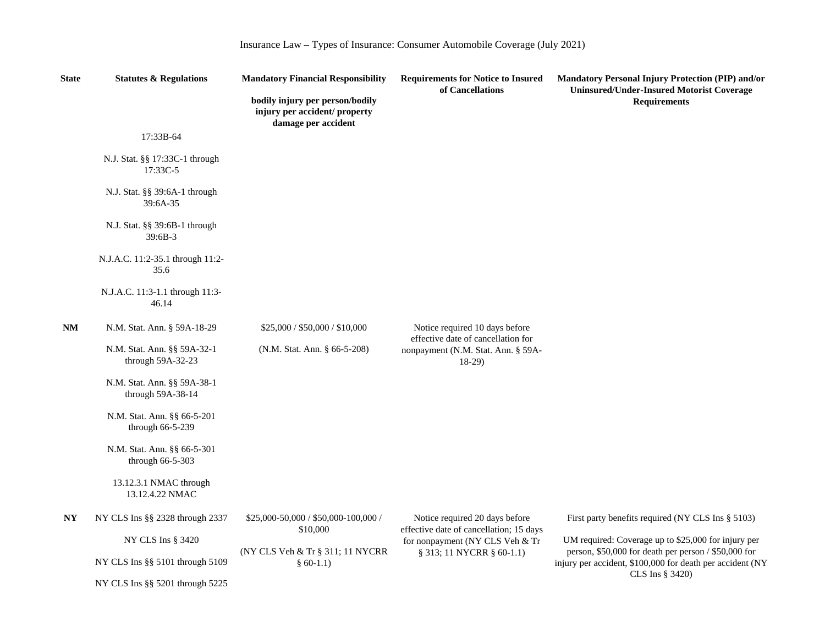| Insurance Law – Types of Insurance: Consumer Automobile Coverage (July 2021) |
|------------------------------------------------------------------------------|
|------------------------------------------------------------------------------|

| <b>State</b>   | <b>Statutes &amp; Regulations</b>                | <b>Mandatory Financial Responsibility</b>                                               | <b>Requirements for Notice to Insured</b><br>of Cancellations                       | Mandatory Personal Injury Protection (PIP) and/or<br><b>Uninsured/Under-Insured Motorist Coverage</b>                                |
|----------------|--------------------------------------------------|-----------------------------------------------------------------------------------------|-------------------------------------------------------------------------------------|--------------------------------------------------------------------------------------------------------------------------------------|
|                |                                                  | bodily injury per person/bodily<br>injury per accident/ property<br>damage per accident |                                                                                     | <b>Requirements</b>                                                                                                                  |
|                | 17:33B-64                                        |                                                                                         |                                                                                     |                                                                                                                                      |
|                | N.J. Stat. §§ 17:33C-1 through<br>17:33C-5       |                                                                                         |                                                                                     |                                                                                                                                      |
|                | N.J. Stat. §§ 39:6A-1 through<br>39:6A-35        |                                                                                         |                                                                                     |                                                                                                                                      |
|                | N.J. Stat. §§ 39:6B-1 through<br>$39:6B-3$       |                                                                                         |                                                                                     |                                                                                                                                      |
|                | N.J.A.C. 11:2-35.1 through 11:2-<br>35.6         |                                                                                         |                                                                                     |                                                                                                                                      |
|                | N.J.A.C. 11:3-1.1 through 11:3-<br>46.14         |                                                                                         |                                                                                     |                                                                                                                                      |
| NM             | N.M. Stat. Ann. § 59A-18-29                      | \$25,000 / \$50,000 / \$10,000                                                          | Notice required 10 days before                                                      |                                                                                                                                      |
|                | N.M. Stat. Ann. §§ 59A-32-1<br>through 59A-32-23 | (N.M. Stat. Ann. § 66-5-208)                                                            | effective date of cancellation for<br>nonpayment (N.M. Stat. Ann. § 59A-<br>$18-29$ |                                                                                                                                      |
|                | N.M. Stat. Ann. §§ 59A-38-1<br>through 59A-38-14 |                                                                                         |                                                                                     |                                                                                                                                      |
|                | N.M. Stat. Ann. §§ 66-5-201<br>through 66-5-239  |                                                                                         |                                                                                     |                                                                                                                                      |
|                | N.M. Stat. Ann. §§ 66-5-301<br>through 66-5-303  |                                                                                         |                                                                                     |                                                                                                                                      |
|                | 13.12.3.1 NMAC through<br>13.12.4.22 NMAC        |                                                                                         |                                                                                     |                                                                                                                                      |
| N <sub>Y</sub> | NY CLS Ins §§ 2328 through 2337                  | \$25,000-50,000 / \$50,000-100,000 /                                                    | Notice required 20 days before                                                      | First party benefits required (NY CLS Ins § 5103)                                                                                    |
|                | NY CLS Ins § 3420                                | \$10,000                                                                                | effective date of cancellation; 15 days<br>for nonpayment (NY CLS Veh & Tr          | UM required: Coverage up to \$25,000 for injury per                                                                                  |
|                | NY CLS Ins §§ 5101 through 5109                  | (NY CLS Veh & Tr § 311; 11 NYCRR<br>$§ 60-1.1)$                                         | § 313; 11 NYCRR § 60-1.1)                                                           | person, \$50,000 for death per person / \$50,000 for<br>injury per accident, \$100,000 for death per accident (NY<br>CLS Ins § 3420) |
|                | NY CLS Ins §§ 5201 through 5225                  |                                                                                         |                                                                                     |                                                                                                                                      |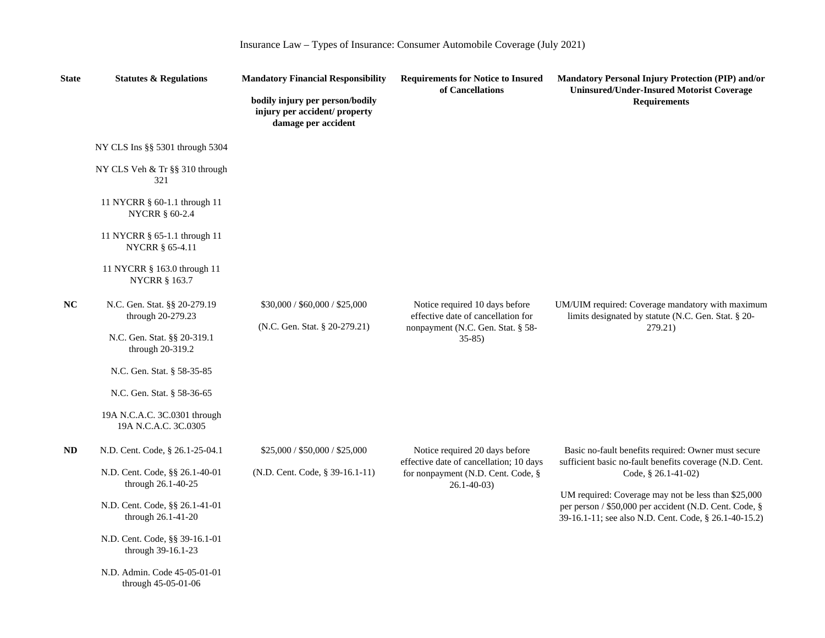| Insurance Law - Types of Insurance: Consumer Automobile Coverage (July 2021) |
|------------------------------------------------------------------------------|
|------------------------------------------------------------------------------|

| <b>State</b> | <b>Statutes &amp; Regulations</b>                                                  | <b>Mandatory Financial Responsibility</b>                                               | <b>Requirements for Notice to Insured</b><br>of Cancellations                                                        | Mandatory Personal Injury Protection (PIP) and/or<br><b>Uninsured/Under-Insured Motorist Coverage</b>                                                                  |
|--------------|------------------------------------------------------------------------------------|-----------------------------------------------------------------------------------------|----------------------------------------------------------------------------------------------------------------------|------------------------------------------------------------------------------------------------------------------------------------------------------------------------|
|              |                                                                                    | bodily injury per person/bodily<br>injury per accident/ property<br>damage per accident |                                                                                                                      | <b>Requirements</b>                                                                                                                                                    |
|              | NY CLS Ins §§ 5301 through 5304                                                    |                                                                                         |                                                                                                                      |                                                                                                                                                                        |
|              | NY CLS Veh & Tr §§ 310 through<br>321                                              |                                                                                         |                                                                                                                      |                                                                                                                                                                        |
|              | 11 NYCRR § 60-1.1 through 11<br><b>NYCRR § 60-2.4</b>                              |                                                                                         |                                                                                                                      |                                                                                                                                                                        |
|              | 11 NYCRR § 65-1.1 through 11<br>NYCRR § 65-4.11                                    |                                                                                         |                                                                                                                      |                                                                                                                                                                        |
|              | 11 NYCRR § 163.0 through 11<br><b>NYCRR § 163.7</b>                                |                                                                                         |                                                                                                                      |                                                                                                                                                                        |
| <b>NC</b>    | N.C. Gen. Stat. §§ 20-279.19<br>through $20-279.23$<br>N.C. Gen. Stat. §§ 20-319.1 | \$30,000 / \$60,000 / \$25,000<br>(N.C. Gen. Stat. § 20-279.21)                         | Notice required 10 days before<br>effective date of cancellation for<br>nonpayment (N.C. Gen. Stat. § 58-<br>$35-85$ | UM/UIM required: Coverage mandatory with maximum<br>limits designated by statute (N.C. Gen. Stat. § 20-<br>279.21)                                                     |
|              | through $20-319.2$<br>N.C. Gen. Stat. § 58-35-85                                   |                                                                                         |                                                                                                                      |                                                                                                                                                                        |
|              | N.C. Gen. Stat. § 58-36-65                                                         |                                                                                         |                                                                                                                      |                                                                                                                                                                        |
|              | 19A N.C.A.C. 3C.0301 through<br>19A N.C.A.C. 3C.0305                               |                                                                                         |                                                                                                                      |                                                                                                                                                                        |
| ND           | N.D. Cent. Code, § 26.1-25-04.1                                                    | \$25,000 / \$50,000 / \$25,000                                                          | Notice required 20 days before                                                                                       | Basic no-fault benefits required: Owner must secure                                                                                                                    |
|              | N.D. Cent. Code, §§ 26.1-40-01<br>through $26.1 - 40 - 25$                         | (N.D. Cent. Code, § 39-16.1-11)                                                         | effective date of cancellation; 10 days<br>for nonpayment (N.D. Cent. Code, §<br>$26.1 - 40 - 03$                    | sufficient basic no-fault benefits coverage (N.D. Cent.<br>Code, § 26.1-41-02)                                                                                         |
|              | N.D. Cent. Code, §§ 26.1-41-01<br>through 26.1-41-20                               |                                                                                         |                                                                                                                      | UM required: Coverage may not be less than \$25,000<br>per person / \$50,000 per accident (N.D. Cent. Code, §<br>39-16.1-11; see also N.D. Cent. Code, § 26.1-40-15.2) |
|              | N.D. Cent. Code, §§ 39-16.1-01<br>through 39-16.1-23                               |                                                                                         |                                                                                                                      |                                                                                                                                                                        |
|              | N.D. Admin. Code 45-05-01-01<br>through 45-05-01-06                                |                                                                                         |                                                                                                                      |                                                                                                                                                                        |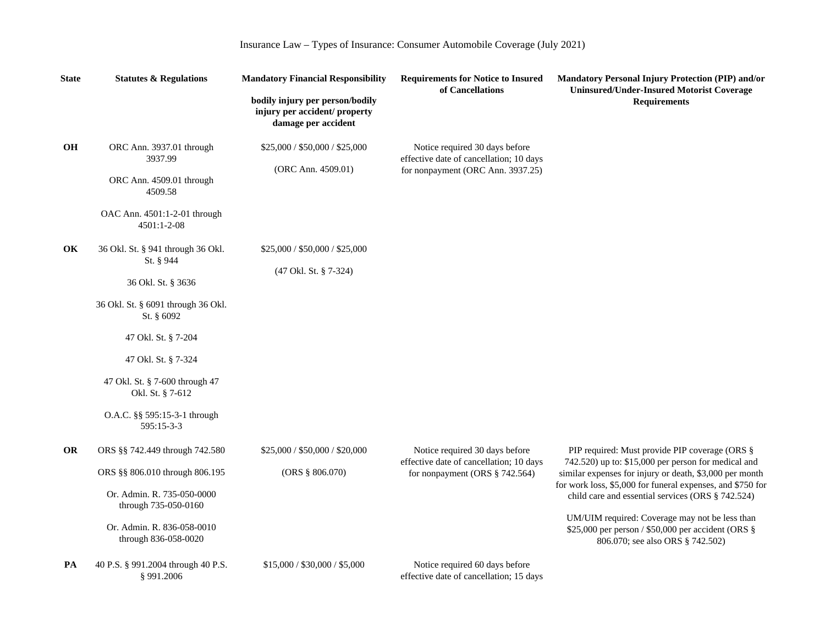| <b>State</b> | <b>Statutes &amp; Regulations</b>                                                                                                                                            | <b>Mandatory Financial Responsibility</b>               | <b>Requirements for Notice to Insured</b><br>of Cancellations                                                  | Mandatory Personal Injury Protection (PIP) and/or<br><b>Uninsured/Under-Insured Motorist Coverage</b>                                                                                                                                                                                                                                                                                                                           |                     |
|--------------|------------------------------------------------------------------------------------------------------------------------------------------------------------------------------|---------------------------------------------------------|----------------------------------------------------------------------------------------------------------------|---------------------------------------------------------------------------------------------------------------------------------------------------------------------------------------------------------------------------------------------------------------------------------------------------------------------------------------------------------------------------------------------------------------------------------|---------------------|
|              |                                                                                                                                                                              |                                                         | bodily injury per person/bodily<br>injury per accident/ property<br>damage per accident                        |                                                                                                                                                                                                                                                                                                                                                                                                                                 | <b>Requirements</b> |
| <b>OH</b>    | ORC Ann. 3937.01 through<br>3937.99<br>ORC Ann. 4509.01 through<br>4509.58<br>OAC Ann. 4501:1-2-01 through<br>4501:1-2-08                                                    | \$25,000 / \$50,000 / \$25,000<br>(ORC Ann. 4509.01)    | Notice required 30 days before<br>effective date of cancellation; 10 days<br>for nonpayment (ORC Ann. 3937.25) |                                                                                                                                                                                                                                                                                                                                                                                                                                 |                     |
| OK           | 36 Okl. St. § 941 through 36 Okl.<br>St. § 944<br>36 Okl. St. § 3636<br>36 Okl. St. § 6091 through 36 Okl.<br>St. $§ 6092$<br>47 Okl. St. § 7-204                            | \$25,000 / \$50,000 / \$25,000<br>(47 Okl. St. § 7-324) |                                                                                                                |                                                                                                                                                                                                                                                                                                                                                                                                                                 |                     |
|              | 47 Okl. St. § 7-324<br>47 Okl. St. § 7-600 through 47<br>Okl. St. § 7-612<br>O.A.C. §§ 595:15-3-1 through<br>595:15-3-3                                                      |                                                         |                                                                                                                |                                                                                                                                                                                                                                                                                                                                                                                                                                 |                     |
| <b>OR</b>    | ORS §§ 742.449 through 742.580<br>ORS §§ 806.010 through 806.195<br>Or. Admin. R. 735-050-0000<br>through 735-050-0160<br>Or. Admin. R. 836-058-0010<br>through 836-058-0020 | \$25,000 / \$50,000 / \$20,000<br>(ORS § 806.070)       | Notice required 30 days before<br>effective date of cancellation; 10 days<br>for nonpayment (ORS $§$ 742.564)  | PIP required: Must provide PIP coverage (ORS §<br>742.520) up to: \$15,000 per person for medical and<br>similar expenses for injury or death, \$3,000 per month<br>for work loss, \$5,000 for funeral expenses, and \$750 for<br>child care and essential services (ORS § 742.524)<br>UM/UIM required: Coverage may not be less than<br>\$25,000 per person / \$50,000 per accident (ORS §<br>806.070; see also ORS § 742.502) |                     |
| PA           | 40 P.S. § 991.2004 through 40 P.S.<br>§991.2006                                                                                                                              | \$15,000 / \$30,000 / \$5,000                           | Notice required 60 days before<br>effective date of cancellation; 15 days                                      |                                                                                                                                                                                                                                                                                                                                                                                                                                 |                     |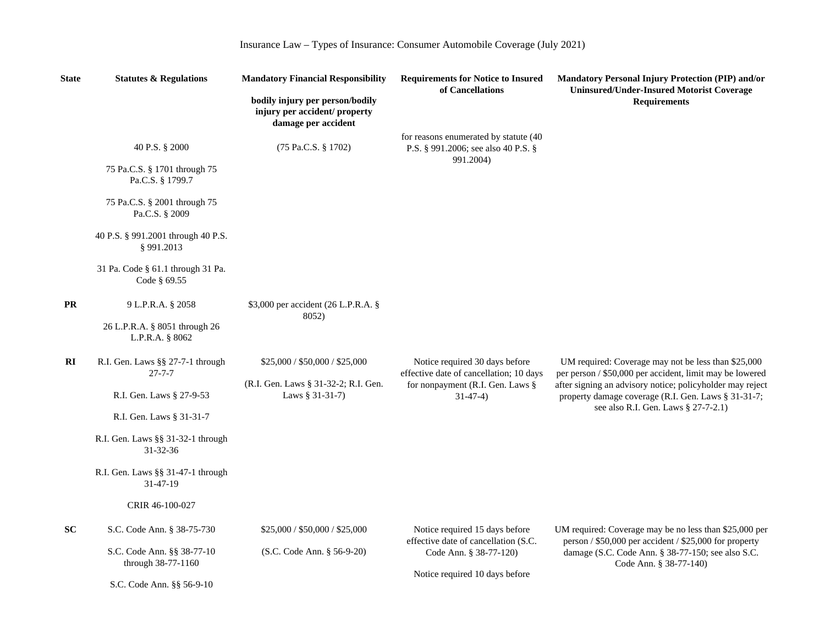| <b>State</b> | <b>Statutes &amp; Regulations</b>                   | <b>Mandatory Financial Responsibility</b>                                               | <b>Requirements for Notice to Insured</b><br>of Cancellations                | Mandatory Personal Injury Protection (PIP) and/or<br><b>Uninsured/Under-Insured Motorist Coverage</b>                                                   |
|--------------|-----------------------------------------------------|-----------------------------------------------------------------------------------------|------------------------------------------------------------------------------|---------------------------------------------------------------------------------------------------------------------------------------------------------|
|              |                                                     | bodily injury per person/bodily<br>injury per accident/ property<br>damage per accident |                                                                              | <b>Requirements</b>                                                                                                                                     |
|              | 40 P.S. § 2000                                      | (75 Pa.C.S. § 1702)                                                                     | for reasons enumerated by statute (40<br>P.S. § 991.2006; see also 40 P.S. § |                                                                                                                                                         |
|              | 75 Pa.C.S. § 1701 through 75<br>Pa.C.S. § 1799.7    |                                                                                         | 991.2004)                                                                    |                                                                                                                                                         |
|              | 75 Pa.C.S. § 2001 through 75<br>Pa.C.S. § 2009      |                                                                                         |                                                                              |                                                                                                                                                         |
|              | 40 P.S. § 991.2001 through 40 P.S.<br>§991.2013     |                                                                                         |                                                                              |                                                                                                                                                         |
|              | 31 Pa. Code § 61.1 through 31 Pa.<br>Code § 69.55   |                                                                                         |                                                                              |                                                                                                                                                         |
| <b>PR</b>    | 9 L.P.R.A. § 2058                                   | \$3,000 per accident (26 L.P.R.A. §<br>8052)                                            |                                                                              |                                                                                                                                                         |
|              | 26 L.P.R.A. § 8051 through 26<br>L.P.R.A. § 8062    |                                                                                         |                                                                              |                                                                                                                                                         |
| RI           | R.I. Gen. Laws §§ 27-7-1 through<br>$27 - 7 - 7$    | \$25,000 / \$50,000 / \$25,000                                                          | Notice required 30 days before<br>effective date of cancellation; 10 days    | UM required: Coverage may not be less than \$25,000<br>per person / \$50,000 per accident, limit may be lowered                                         |
|              | R.I. Gen. Laws § 27-9-53                            | (R.I. Gen. Laws § 31-32-2; R.I. Gen.<br>Laws § 31-31-7)                                 | for nonpayment (R.I. Gen. Laws §<br>$31-47-4)$                               | after signing an advisory notice; policyholder may reject<br>property damage coverage (R.I. Gen. Laws § 31-31-7;<br>see also R.I. Gen. Laws § 27-7-2.1) |
|              | R.I. Gen. Laws § 31-31-7                            |                                                                                         |                                                                              |                                                                                                                                                         |
|              | R.I. Gen. Laws §§ 31-32-1 through<br>$31 - 32 - 36$ |                                                                                         |                                                                              |                                                                                                                                                         |
|              | R.I. Gen. Laws §§ 31-47-1 through<br>31-47-19       |                                                                                         |                                                                              |                                                                                                                                                         |
|              | CRIR 46-100-027                                     |                                                                                         |                                                                              |                                                                                                                                                         |
| <b>SC</b>    | S.C. Code Ann. § 38-75-730                          | \$25,000 / \$50,000 / \$25,000                                                          | Notice required 15 days before<br>effective date of cancellation (S.C.       | UM required: Coverage may be no less than \$25,000 per<br>person / \$50,000 per accident / \$25,000 for property                                        |
|              | S.C. Code Ann. §§ 38-77-10<br>through 38-77-1160    | (S.C. Code Ann. § 56-9-20)                                                              | Code Ann. § 38-77-120)                                                       | damage (S.C. Code Ann. § 38-77-150; see also S.C.<br>Code Ann. § 38-77-140)                                                                             |
|              | S.C. Code Ann. §§ 56-9-10                           |                                                                                         | Notice required 10 days before                                               |                                                                                                                                                         |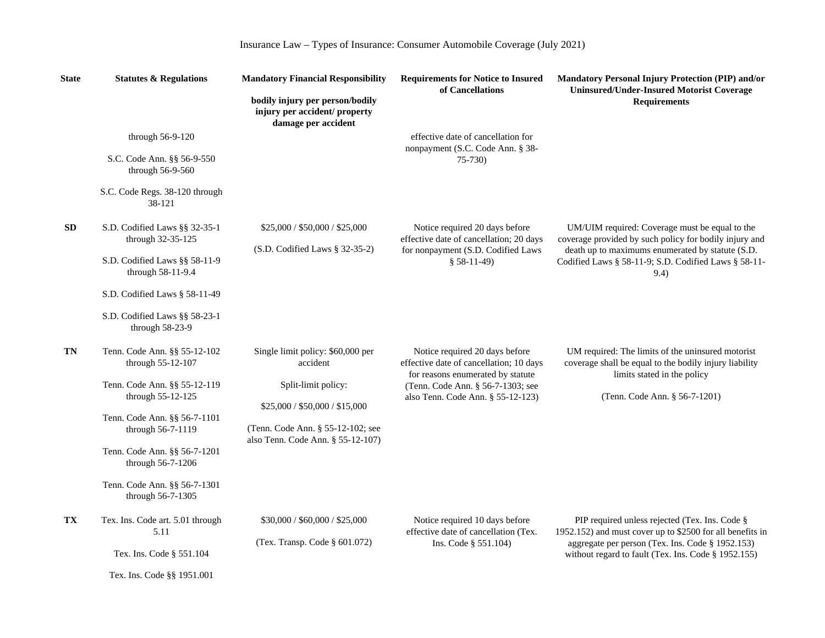| <b>State</b> | <b>Statutes &amp; Regulations</b>                  | <b>Mandatory Financial Responsibility</b>                                               | <b>Requirements for Notice to Insured</b><br>of Cancellations                                                  | Mandatory Personal Injury Protection (PIP) and/or<br><b>Uninsured/Under-Insured Motorist Coverage</b>                                      |
|--------------|----------------------------------------------------|-----------------------------------------------------------------------------------------|----------------------------------------------------------------------------------------------------------------|--------------------------------------------------------------------------------------------------------------------------------------------|
|              |                                                    | bodily injury per person/bodily<br>injury per accident/ property<br>damage per accident |                                                                                                                | <b>Requirements</b>                                                                                                                        |
|              | through 56-9-120                                   |                                                                                         | effective date of cancellation for                                                                             |                                                                                                                                            |
|              | S.C. Code Ann. §§ 56-9-550<br>through 56-9-560     |                                                                                         | nonpayment (S.C. Code Ann. § 38-<br>$75-730$                                                                   |                                                                                                                                            |
|              | S.C. Code Regs. 38-120 through<br>38-121           |                                                                                         |                                                                                                                |                                                                                                                                            |
| <b>SD</b>    | S.D. Codified Laws §§ 32-35-1<br>through 32-35-125 | \$25,000 / \$50,000 / \$25,000                                                          | Notice required 20 days before<br>effective date of cancellation; 20 days                                      | UM/UIM required: Coverage must be equal to the<br>coverage provided by such policy for bodily injury and                                   |
|              | S.D. Codified Laws §§ 58-11-9<br>through 58-11-9.4 | $(S.D.$ Codified Laws § 32-35-2)                                                        | for nonpayment (S.D. Codified Laws<br>$$58-11-49)$                                                             | death up to maximums enumerated by statute (S.D.<br>Codified Laws § 58-11-9; S.D. Codified Laws § 58-11-<br>9.4)                           |
|              | S.D. Codified Laws § 58-11-49                      |                                                                                         |                                                                                                                |                                                                                                                                            |
|              | S.D. Codified Laws §§ 58-23-1<br>through 58-23-9   |                                                                                         |                                                                                                                |                                                                                                                                            |
| TN           | Tenn. Code Ann. §§ 55-12-102<br>through 55-12-107  | Single limit policy: \$60,000 per<br>accident                                           | Notice required 20 days before<br>effective date of cancellation; 10 days<br>for reasons enumerated by statute | UM required: The limits of the uninsured motorist<br>coverage shall be equal to the bodily injury liability<br>limits stated in the policy |
|              | Tenn. Code Ann. §§ 55-12-119<br>through 55-12-125  | Split-limit policy:                                                                     | (Tenn. Code Ann. § 56-7-1303; see<br>also Tenn. Code Ann. § 55-12-123)                                         | (Tenn. Code Ann. § 56-7-1201)                                                                                                              |
|              |                                                    | \$25,000 / \$50,000 / \$15,000                                                          |                                                                                                                |                                                                                                                                            |
|              | Tenn. Code Ann. §§ 56-7-1101<br>through 56-7-1119  | (Tenn. Code Ann. § 55-12-102; see<br>also Tenn. Code Ann. § 55-12-107)                  |                                                                                                                |                                                                                                                                            |
|              | Tenn. Code Ann. §§ 56-7-1201<br>through 56-7-1206  |                                                                                         |                                                                                                                |                                                                                                                                            |
|              | Tenn. Code Ann. §§ 56-7-1301<br>through 56-7-1305  |                                                                                         |                                                                                                                |                                                                                                                                            |
| TX           | Tex. Ins. Code art. 5.01 through<br>5.11           | \$30,000 / \$60,000 / \$25,000                                                          | Notice required 10 days before<br>effective date of cancellation (Tex.                                         | PIP required unless rejected (Tex. Ins. Code §<br>1952.152) and must cover up to \$2500 for all benefits in                                |
|              | Tex. Ins. Code § 551.104                           | (Tex. Transp. Code § 601.072)                                                           | Ins. Code § 551.104)                                                                                           | aggregate per person (Tex. Ins. Code § 1952.153)<br>without regard to fault (Tex. Ins. Code § 1952.155)                                    |
|              | Tex. Ins. Code §§ 1951.001                         |                                                                                         |                                                                                                                |                                                                                                                                            |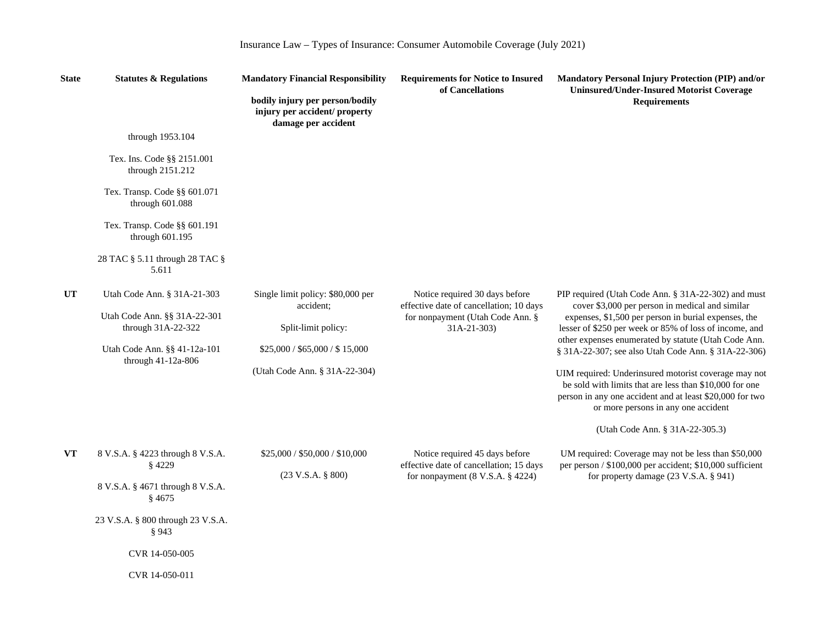| Insurance Law - Types of Insurance: Consumer Automobile Coverage (July 2021) |  |  |  |
|------------------------------------------------------------------------------|--|--|--|
|------------------------------------------------------------------------------|--|--|--|

| <b>State</b> | <b>Statutes &amp; Regulations</b>                  | <b>Mandatory Financial Responsibility</b>                                               | <b>Requirements for Notice to Insured</b><br>of Cancellations                                                   | Mandatory Personal Injury Protection (PIP) and/or<br><b>Uninsured/Under-Insured Motorist Coverage</b>                                                                                                                                                                                                                                   |
|--------------|----------------------------------------------------|-----------------------------------------------------------------------------------------|-----------------------------------------------------------------------------------------------------------------|-----------------------------------------------------------------------------------------------------------------------------------------------------------------------------------------------------------------------------------------------------------------------------------------------------------------------------------------|
|              |                                                    | bodily injury per person/bodily<br>injury per accident/ property<br>damage per accident |                                                                                                                 | <b>Requirements</b>                                                                                                                                                                                                                                                                                                                     |
|              | through 1953.104                                   |                                                                                         |                                                                                                                 |                                                                                                                                                                                                                                                                                                                                         |
|              | Tex. Ins. Code §§ 2151.001<br>through 2151.212     |                                                                                         |                                                                                                                 |                                                                                                                                                                                                                                                                                                                                         |
|              | Tex. Transp. Code §§ 601.071<br>through 601.088    |                                                                                         |                                                                                                                 |                                                                                                                                                                                                                                                                                                                                         |
|              | Tex. Transp. Code §§ 601.191<br>through 601.195    |                                                                                         |                                                                                                                 |                                                                                                                                                                                                                                                                                                                                         |
|              | 28 TAC § 5.11 through 28 TAC §<br>5.611            |                                                                                         |                                                                                                                 |                                                                                                                                                                                                                                                                                                                                         |
| <b>UT</b>    | Utah Code Ann. § 31A-21-303                        | Single limit policy: \$80,000 per<br>accident:                                          | Notice required 30 days before<br>effective date of cancellation; 10 days                                       | PIP required (Utah Code Ann. § 31A-22-302) and must<br>cover \$3,000 per person in medical and similar<br>expenses, \$1,500 per person in burial expenses, the<br>lesser of \$250 per week or 85% of loss of income, and<br>other expenses enumerated by statute (Utah Code Ann.<br>§ 31A-22-307; see also Utah Code Ann. § 31A-22-306) |
|              | Utah Code Ann. §§ 31A-22-301<br>through 31A-22-322 | Split-limit policy:                                                                     | for nonpayment (Utah Code Ann. §<br>$31A-21-303$                                                                |                                                                                                                                                                                                                                                                                                                                         |
|              | Utah Code Ann. §§ 41-12a-101<br>through 41-12a-806 | \$25,000 / \$65,000 / \$15,000                                                          |                                                                                                                 |                                                                                                                                                                                                                                                                                                                                         |
|              |                                                    | (Utah Code Ann. § 31A-22-304)                                                           |                                                                                                                 | UIM required: Underinsured motorist coverage may not<br>be sold with limits that are less than \$10,000 for one<br>person in any one accident and at least \$20,000 for two<br>or more persons in any one accident                                                                                                                      |
|              |                                                    |                                                                                         |                                                                                                                 | (Utah Code Ann. § 31A-22-305.3)                                                                                                                                                                                                                                                                                                         |
| VT           | 8 V.S.A. § 4223 through 8 V.S.A.<br>§4229          | \$25,000 / \$50,000 / \$10,000<br>$(23 \text{ V.S.A. } § 800)$                          | Notice required 45 days before<br>effective date of cancellation; 15 days<br>for nonpayment $(8 V.S.A. § 4224)$ | UM required: Coverage may not be less than \$50,000<br>per person / \$100,000 per accident; \$10,000 sufficient<br>for property damage (23 V.S.A. § 941)                                                                                                                                                                                |
|              | 8 V.S.A. § 4671 through 8 V.S.A.<br>§ 4675         |                                                                                         |                                                                                                                 |                                                                                                                                                                                                                                                                                                                                         |
|              | 23 V.S.A. § 800 through 23 V.S.A.<br>§ 943         |                                                                                         |                                                                                                                 |                                                                                                                                                                                                                                                                                                                                         |
|              | CVR 14-050-005                                     |                                                                                         |                                                                                                                 |                                                                                                                                                                                                                                                                                                                                         |
|              | CVR 14-050-011                                     |                                                                                         |                                                                                                                 |                                                                                                                                                                                                                                                                                                                                         |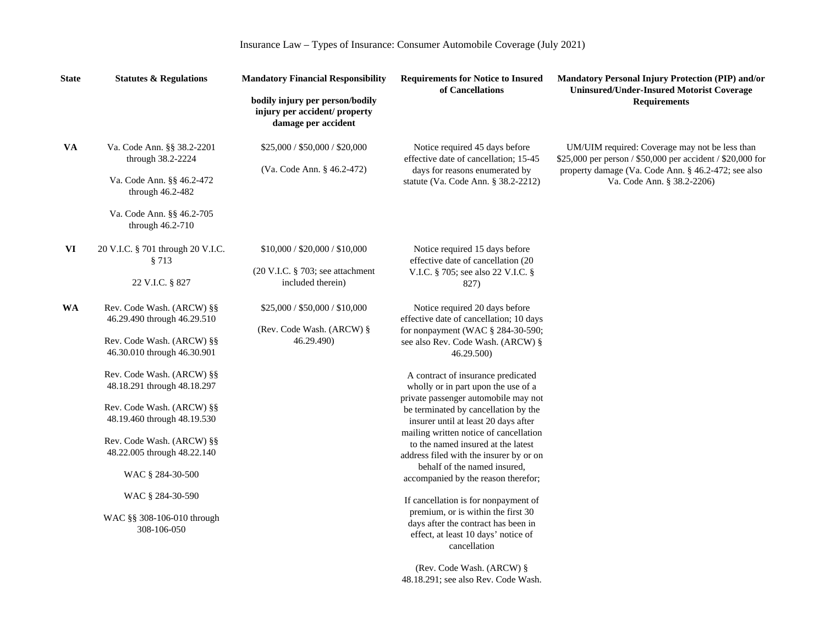| <b>State</b> | <b>Statutes &amp; Regulations</b>                 | <b>Mandatory Financial Responsibility</b>                                               | <b>Requirements for Notice to Insured</b><br>of Cancellations              | <b>Mandatory Personal Injury Protection (PIP) and/or</b><br><b>Uninsured/Under-Insured Motorist Coverage</b> |
|--------------|---------------------------------------------------|-----------------------------------------------------------------------------------------|----------------------------------------------------------------------------|--------------------------------------------------------------------------------------------------------------|
|              |                                                   | bodily injury per person/bodily<br>injury per accident/ property<br>damage per accident |                                                                            | <b>Requirements</b>                                                                                          |
| <b>VA</b>    | Va. Code Ann. §§ 38.2-2201<br>through 38.2-2224   | \$25,000 / \$50,000 / \$20,000                                                          | Notice required 45 days before<br>effective date of cancellation; 15-45    | UM/UIM required: Coverage may not be less than<br>\$25,000 per person / \$50,000 per accident / \$20,000 for |
|              |                                                   | (Va. Code Ann. § 46.2-472)                                                              | days for reasons enumerated by                                             | property damage (Va. Code Ann. § 46.2-472; see also                                                          |
|              | Va. Code Ann. §§ 46.2-472<br>through 46.2-482     |                                                                                         | statute (Va. Code Ann. § 38.2-2212)                                        | Va. Code Ann. § 38.2-2206)                                                                                   |
|              | Va. Code Ann. §§ 46.2-705<br>through $46.2 - 710$ |                                                                                         |                                                                            |                                                                                                              |
| VI           | 20 V.I.C. § 701 through 20 V.I.C.                 | \$10,000 / \$20,000 / \$10,000                                                          | Notice required 15 days before                                             |                                                                                                              |
|              | §713                                              |                                                                                         | effective date of cancellation (20                                         |                                                                                                              |
|              |                                                   | $(20 \text{ V.I.C. } § 703; see attachment)$                                            | V.I.C. § 705; see also 22 V.I.C. §                                         |                                                                                                              |
|              | 22 V.I.C. § 827                                   | included therein)                                                                       | 827)                                                                       |                                                                                                              |
| <b>WA</b>    | Rev. Code Wash. (ARCW) §§                         | \$25,000 / \$50,000 / \$10,000                                                          | Notice required 20 days before                                             |                                                                                                              |
|              | 46.29.490 through 46.29.510                       |                                                                                         | effective date of cancellation; 10 days                                    |                                                                                                              |
|              |                                                   | (Rev. Code Wash. (ARCW) §                                                               | for nonpayment (WAC § 284-30-590;                                          |                                                                                                              |
|              | Rev. Code Wash. (ARCW) §§                         | 46.29.490)                                                                              | see also Rev. Code Wash. (ARCW) §                                          |                                                                                                              |
|              | 46.30.010 through 46.30.901                       |                                                                                         | 46.29.500)                                                                 |                                                                                                              |
|              | Rev. Code Wash. (ARCW) §§                         |                                                                                         | A contract of insurance predicated                                         |                                                                                                              |
|              | 48.18.291 through 48.18.297                       |                                                                                         | wholly or in part upon the use of a                                        |                                                                                                              |
|              |                                                   |                                                                                         | private passenger automobile may not                                       |                                                                                                              |
|              | Rev. Code Wash. (ARCW) §§                         |                                                                                         | be terminated by cancellation by the                                       |                                                                                                              |
|              | 48.19.460 through 48.19.530                       |                                                                                         | insurer until at least 20 days after                                       |                                                                                                              |
|              |                                                   |                                                                                         | mailing written notice of cancellation                                     |                                                                                                              |
|              | Rev. Code Wash. (ARCW) §§                         |                                                                                         | to the named insured at the latest                                         |                                                                                                              |
|              | 48.22.005 through 48.22.140                       |                                                                                         | address filed with the insurer by or on                                    |                                                                                                              |
|              |                                                   |                                                                                         | behalf of the named insured,                                               |                                                                                                              |
|              | WAC § 284-30-500                                  |                                                                                         | accompanied by the reason therefor;                                        |                                                                                                              |
|              | WAC § 284-30-590                                  |                                                                                         |                                                                            |                                                                                                              |
|              |                                                   |                                                                                         | If cancellation is for nonpayment of                                       |                                                                                                              |
|              | WAC §§ 308-106-010 through                        |                                                                                         | premium, or is within the first 30                                         |                                                                                                              |
|              | 308-106-050                                       |                                                                                         | days after the contract has been in<br>effect, at least 10 days' notice of |                                                                                                              |
|              |                                                   |                                                                                         | cancellation                                                               |                                                                                                              |
|              |                                                   |                                                                                         | (Rev. Code Wash. (ARCW) §                                                  |                                                                                                              |
|              |                                                   |                                                                                         | 48.18.291; see also Rev. Code Wash.                                        |                                                                                                              |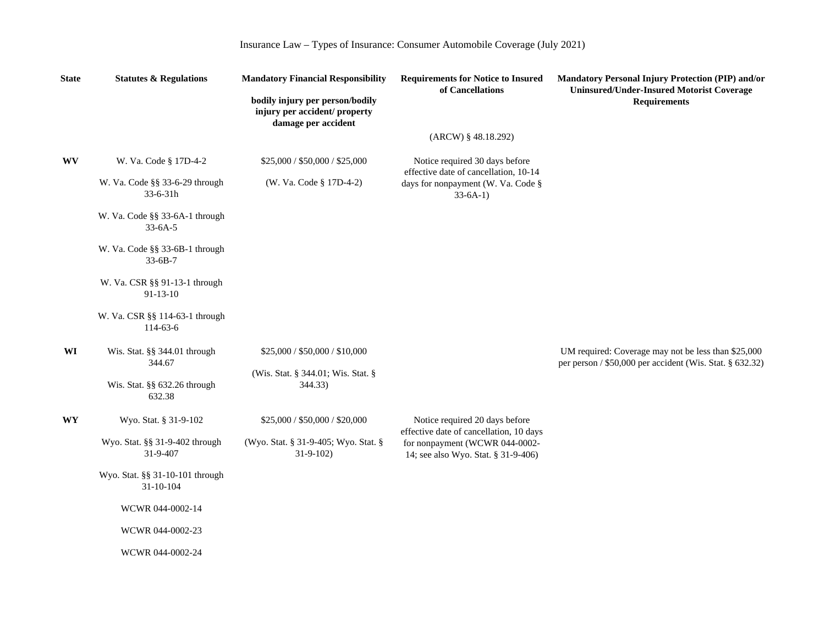| <b>State</b> | <b>Statutes &amp; Regulations</b>               | <b>Mandatory Financial Responsibility</b>                                               | <b>Requirements for Notice to Insured</b><br>of Cancellations                                                                                      | Mandatory Personal Injury Protection (PIP) and/or<br><b>Uninsured/Under-Insured Motorist Coverage</b>           |
|--------------|-------------------------------------------------|-----------------------------------------------------------------------------------------|----------------------------------------------------------------------------------------------------------------------------------------------------|-----------------------------------------------------------------------------------------------------------------|
|              |                                                 | bodily injury per person/bodily<br>injury per accident/ property<br>damage per accident |                                                                                                                                                    | <b>Requirements</b>                                                                                             |
|              |                                                 |                                                                                         | $(ARCW)$ § 48.18.292)                                                                                                                              |                                                                                                                 |
| <b>WV</b>    | W. Va. Code § 17D-4-2                           | \$25,000 / \$50,000 / \$25,000                                                          | Notice required 30 days before<br>effective date of cancellation, 10-14<br>days for nonpayment (W. Va. Code §<br>$33-6A-1)$                        |                                                                                                                 |
|              | W. Va. Code §§ 33-6-29 through<br>33-6-31h      | (W. Va. Code § 17D-4-2)                                                                 |                                                                                                                                                    |                                                                                                                 |
|              | W. Va. Code §§ 33-6A-1 through<br>$33-6A-5$     |                                                                                         |                                                                                                                                                    |                                                                                                                 |
|              | W. Va. Code §§ 33-6B-1 through<br>$33-6B-7$     |                                                                                         |                                                                                                                                                    |                                                                                                                 |
|              | W. Va. CSR §§ 91-13-1 through<br>$91 - 13 - 10$ |                                                                                         |                                                                                                                                                    |                                                                                                                 |
|              | W. Va. CSR §§ 114-63-1 through<br>114-63-6      |                                                                                         |                                                                                                                                                    |                                                                                                                 |
| WI           | Wis. Stat. §§ 344.01 through<br>344.67          | \$25,000 / \$50,000 / \$10,000                                                          |                                                                                                                                                    | UM required: Coverage may not be less than \$25,000<br>per person / \$50,000 per accident (Wis. Stat. § 632.32) |
|              | Wis. Stat. §§ 632.26 through<br>632.38          | (Wis. Stat. § 344.01; Wis. Stat. §<br>344.33)                                           |                                                                                                                                                    |                                                                                                                 |
| <b>WY</b>    | Wyo. Stat. § 31-9-102                           | \$25,000 / \$50,000 / \$20,000                                                          | Notice required 20 days before<br>effective date of cancellation, 10 days<br>for nonpayment (WCWR 044-0002-<br>14; see also Wyo. Stat. § 31-9-406) |                                                                                                                 |
|              | Wyo. Stat. §§ 31-9-402 through<br>31-9-407      | (Wyo. Stat. § 31-9-405; Wyo. Stat. §<br>$31-9-102$                                      |                                                                                                                                                    |                                                                                                                 |
|              | Wyo. Stat. §§ 31-10-101 through<br>31-10-104    |                                                                                         |                                                                                                                                                    |                                                                                                                 |
|              | WCWR 044-0002-14                                |                                                                                         |                                                                                                                                                    |                                                                                                                 |
|              | WCWR 044-0002-23                                |                                                                                         |                                                                                                                                                    |                                                                                                                 |
|              | WCWR 044-0002-24                                |                                                                                         |                                                                                                                                                    |                                                                                                                 |